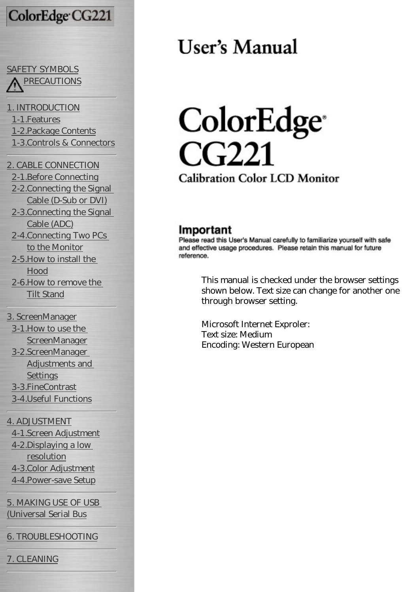# ColorEdge CG221

## [SAFETY SYMBOLS](#page-3-0) [PRECAUTIONS](#page-5-0)

[1. INTRODUCTION](#page-11-0) [1-1.Features](#page-11-1) [1-2.Package Contents](#page-11-2) [1-3.Controls & Connectors](#page-12-0)

[2. CABLE CONNECTION](#page-15-0) [2-1.Before Connecting](#page-15-1) [2-2.Connecting the Signal](#page-16-0) [Cable \(D-Sub or DVI\)](#page-16-0) [2-3.Connecting the Signal](#page-19-0) [Cable \(ADC\)](#page-19-0) [2-4.Connecting Two PCs](#page-22-0) [to the Monitor](#page-22-0) [2-5.How to install the](#page-25-0) [Hood](#page-25-0) [2-6.How to remove the](#page-26-0)

[Tilt Stand](#page-26-0)

[3. ScreenManager](#page-28-0) [3-1.How to use the](#page-28-1)  **[ScreenManager](#page-28-1)** [3-2.ScreenManager](#page-29-0)  [Adjustments and](#page-29-0) **[Settings](#page-29-0)** [3-3.FineContrast](#page-30-0) [3-4.Useful Functions](#page-32-0)

[4. ADJUSTMENT](#page-35-0)

[4-1.Screen Adjustment](#page-35-1) [4-2.Displaying a low](#page-39-0)  [resolution](#page-39-0) [4-3.Color Adjustment](#page-41-0) [4-4.Power-save Setup](#page-43-0)

[5. MAKING USE OF USB](#page-46-0)  [\(Universal Serial Bus](#page-46-0)

[6. TROUBLESHOOTING](#page-48-0)

[7. CLEANING](#page-53-0)

# User's Manual

# ColorEdge<sup>®</sup> CG221 **Calibration Color LCD Monitor**

## Important

Please read this User's Manual carefully to familiarize yourself with safe and effective usage procedures. Please retain this manual for future reference.

> This manual is checked under the browser settings shown below. Text size can change for another one through browser setting.

Microsoft Internet Exproler: Text size: Medium Encoding: Western European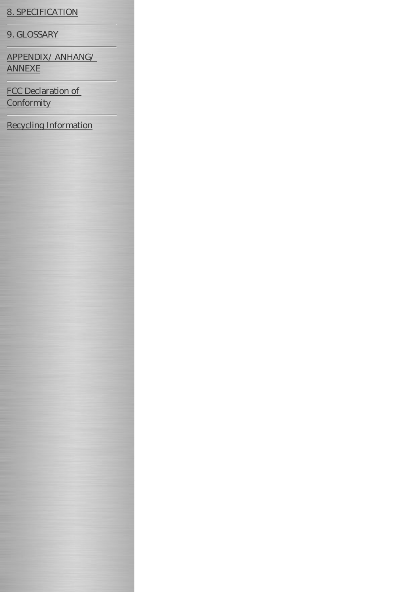#### [8. SPECIFICATION](#page-54-0)

[9. GLOSSARY](#page-58-0)

[APPENDIX/ ANHANG/](#page-61-0)  [ANNEXE](#page-61-0)

[FCC Declaration of](#page-63-0) **[Conformity](#page-63-0)** 

[Recycling Information](#page-64-0)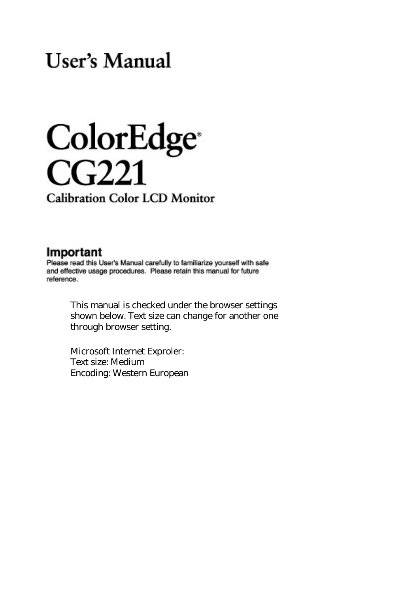# User's Manual

# ColorEdge<sup>®</sup>  $CG221$

**Calibration Color LCD Monitor** 

#### Important

Please read this User's Manual carefully to familiarize yourself with safe and effective usage procedures. Please retain this manual for future reference.

> This manual is checked under the browser settings shown below. Text size can change for another one through browser setting.

Microsoft Internet Exproler: Text size: Medium Encoding: Western European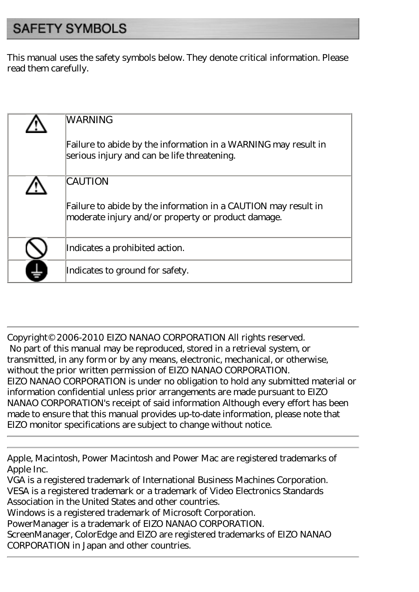# <span id="page-3-0"></span>**SAFETY SYMBOLS**

This manual uses the safety symbols below. They denote critical information. Please read them carefully.

| <b>WARNING</b>                                                                                                       |
|----------------------------------------------------------------------------------------------------------------------|
| Failure to abide by the information in a WARNING may result in<br>serious injury and can be life threatening.        |
| <b>CAUTION</b>                                                                                                       |
| Failure to abide by the information in a CAUTION may result in<br>moderate injury and/or property or product damage. |
| Indicates a prohibited action.                                                                                       |
| Indicates to ground for safety.                                                                                      |

Copyright© 2006-2010 EIZO NANAO CORPORATION All rights reserved. No part of this manual may be reproduced, stored in a retrieval system, or transmitted, in any form or by any means, electronic, mechanical, or otherwise, without the prior written permission of EIZO NANAO CORPORATION. EIZO NANAO CORPORATION is under no obligation to hold any submitted material or information confidential unless prior arrangements are made pursuant to EIZO NANAO CORPORATION's receipt of said information Although every effort has been made to ensure that this manual provides up-to-date information, please note that EIZO monitor specifications are subject to change without notice.

Apple, Macintosh, Power Macintosh and Power Mac are registered trademarks of Apple Inc.

VGA is a registered trademark of International Business Machines Corporation. VESA is a registered trademark or a trademark of Video Electronics Standards Association in the United States and other countries.

Windows is a registered trademark of Microsoft Corporation.

PowerManager is a trademark of EIZO NANAO CORPORATION.

ScreenManager, ColorEdge and EIZO are registered trademarks of EIZO NANAO CORPORATION in Japan and other countries.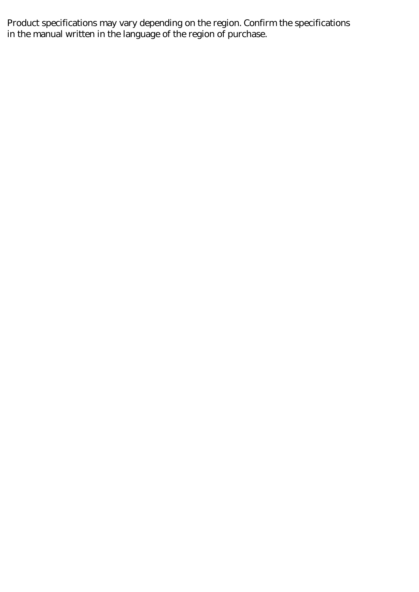Product specifications may vary depending on the region. Confirm the specifications in the manual written in the language of the region of purchase.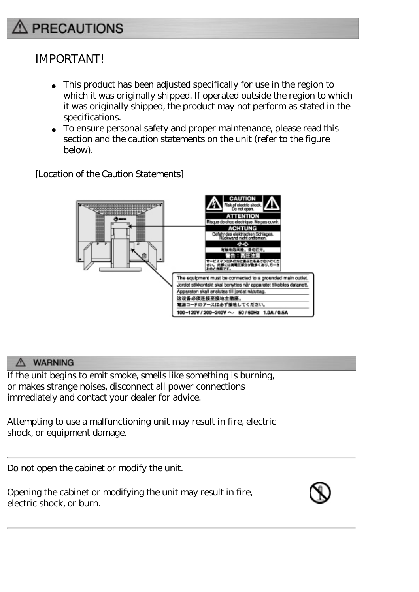# <span id="page-5-0"></span>**PRECAUTIONS**

## IMPORTANT!

This product has been adjusted specifically for use in the region to which it was originally shipped. If operated outside the region to which it was originally shipped, the product may not perform as stated in the specifications.

To ensure personal safety and proper maintenance, please read this section and the caution statements on the unit (refer to the figure below).

[Location of the Caution Statements]



#### A WARNING

If the unit begins to emit smoke, smells like something is burning, or makes strange noises, disconnect all power connections immediately and contact your dealer for advice.

Attempting to use a malfunctioning unit may result in fire, electric shock, or equipment damage.

Do not open the cabinet or modify the unit.

Opening the cabinet or modifying the unit may result in fire, electric shock, or burn.

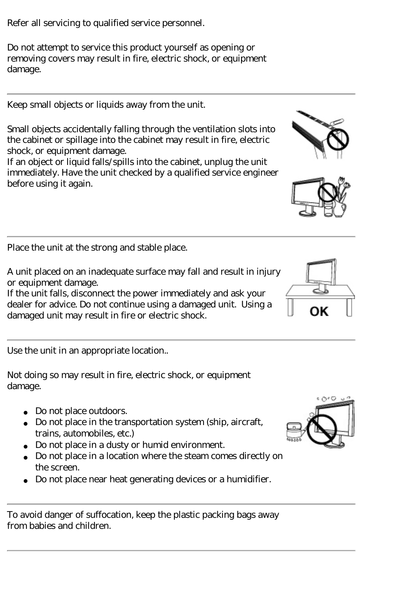Refer all servicing to qualified service personnel.

Do not attempt to service this product yourself as opening or removing covers may result in fire, electric shock, or equipment damage.

Keep small objects or liquids away from the unit.

Small objects accidentally falling through the ventilation slots into the cabinet or spillage into the cabinet may result in fire, electric shock, or equipment damage.

If an object or liquid falls/spills into the cabinet, unplug the unit immediately. Have the unit checked by a qualified service engineer before using it again.

Place the unit at the strong and stable place.

A unit placed on an inadequate surface may fall and result in injury or equipment damage.

If the unit falls, disconnect the power immediately and ask your dealer for advice. Do not continue using a damaged unit. Using a damaged unit may result in fire or electric shock.

Use the unit in an appropriate location..

Not doing so may result in fire, electric shock, or equipment damage.

> Do not place outdoors. Do not place in the transportation system (ship, aircraft, trains, automobiles, etc.) Do not place in a dusty or humid environment. Do not place in a location where the steam comes directly on the screen.

Do not place near heat generating devices or a humidifier.

To avoid danger of suffocation, keep the plastic packing bags away from babies and children.





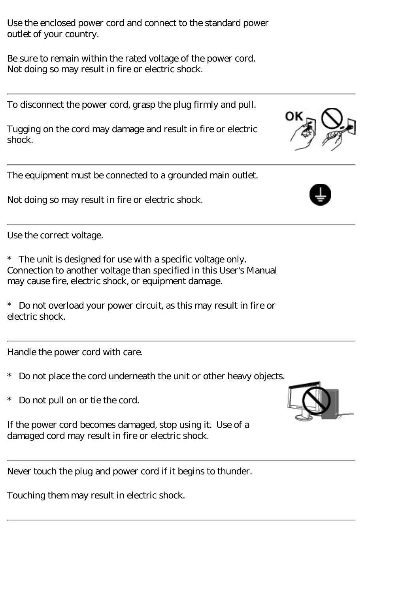Use the enclosed power cord and connect to the standard power outlet of your country.

Be sure to remain within the rated voltage of the power cord. Not doing so may result in fire or electric shock.

To disconnect the power cord, grasp the plug firmly and pull.

Tugging on the cord may damage and result in fire or electric shock.

The equipment must be connected to a grounded main outlet.

Not doing so may result in fire or electric shock.

Use the correct voltage.

\* The unit is designed for use with a specific voltage only. Connection to another voltage than specified in this User's Manual may cause fire, electric shock, or equipment damage.

\* Do not overload your power circuit, as this may result in fire or electric shock.

Handle the power cord with care.

- \* Do not place the cord underneath the unit or other heavy objects.
- \* Do not pull on or tie the cord.

If the power cord becomes damaged, stop using it. Use of a damaged cord may result in fire or electric shock.

Never touch the plug and power cord if it begins to thunder.

Touching them may result in electric shock.





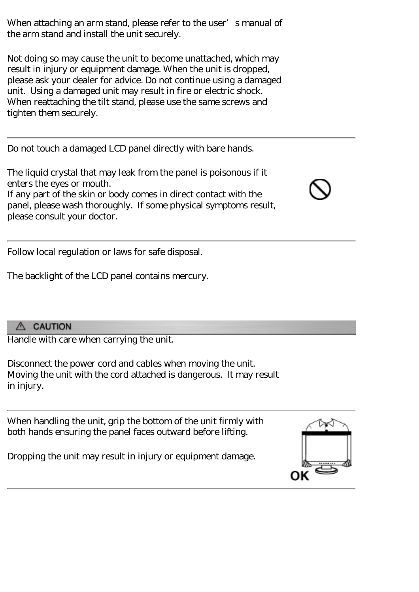When attaching an arm stand, please refer to the user's manual of the arm stand and install the unit securely.

Not doing so may cause the unit to become unattached, which may result in injury or equipment damage. When the unit is dropped, please ask your dealer for advice. Do not continue using a damaged unit. Using a damaged unit may result in fire or electric shock. When reattaching the tilt stand, please use the same screws and tighten them securely.

Do not touch a damaged LCD panel directly with bare hands.

The liquid crystal that may leak from the panel is poisonous if it enters the eyes or mouth. If any part of the skin or body comes in direct contact with the panel, please wash thoroughly. If some physical symptoms result, please consult your doctor.

Follow local regulation or laws for safe disposal.

The backlight of the LCD panel contains mercury.

#### A CAUTION

Handle with care when carrying the unit.

Disconnect the power cord and cables when moving the unit. Moving the unit with the cord attached is dangerous. It may result in injury.

When handling the unit, grip the bottom of the unit firmly with both hands ensuring the panel faces outward before lifting.

Dropping the unit may result in injury or equipment damage.



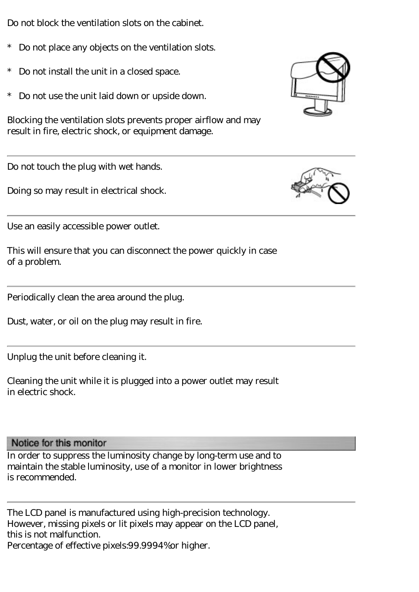Do not block the ventilation slots on the cabinet.

- Do not place any objects on the ventilation slots.
- \* Do not install the unit in a closed space.
- \* Do not use the unit laid down or upside down.

Blocking the ventilation slots prevents proper airflow and may result in fire, electric shock, or equipment damage.

Do not touch the plug with wet hands.

Doing so may result in electrical shock.

Use an easily accessible power outlet.

This will ensure that you can disconnect the power quickly in case of a problem.

Periodically clean the area around the plug.

Dust, water, or oil on the plug may result in fire.

Unplug the unit before cleaning it.

Cleaning the unit while it is plugged into a power outlet may result in electric shock.

Notice for this monitor

In order to suppress the luminosity change by long-term use and to maintain the stable luminosity, use of a monitor in lower brightness is recommended.

The LCD panel is manufactured using high-precision technology. However, missing pixels or lit pixels may appear on the LCD panel, this is not malfunction. Percentage of effective pixels:99.9994%or higher.



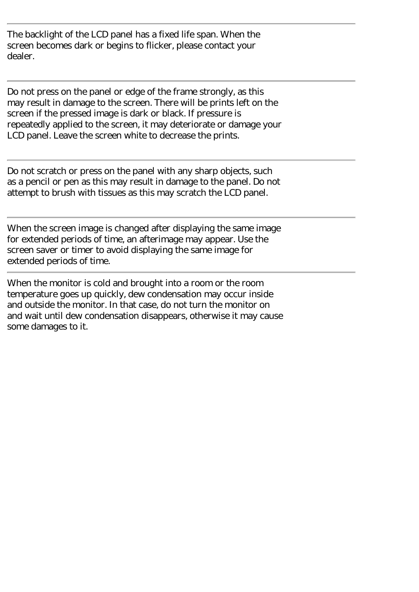The backlight of the LCD panel has a fixed life span. When the screen becomes dark or begins to flicker, please contact your dealer.

Do not press on the panel or edge of the frame strongly, as this may result in damage to the screen. There will be prints left on the screen if the pressed image is dark or black. If pressure is repeatedly applied to the screen, it may deteriorate or damage your LCD panel. Leave the screen white to decrease the prints.

Do not scratch or press on the panel with any sharp objects, such as a pencil or pen as this may result in damage to the panel. Do not attempt to brush with tissues as this may scratch the LCD panel.

When the screen image is changed after displaying the same image for extended periods of time, an afterimage may appear. Use the screen saver or timer to avoid displaying the same image for extended periods of time.

When the monitor is cold and brought into a room or the room temperature goes up quickly, dew condensation may occur inside and outside the monitor. In that case, do not turn the monitor on and wait until dew condensation disappears, otherwise it may cause some damages to it.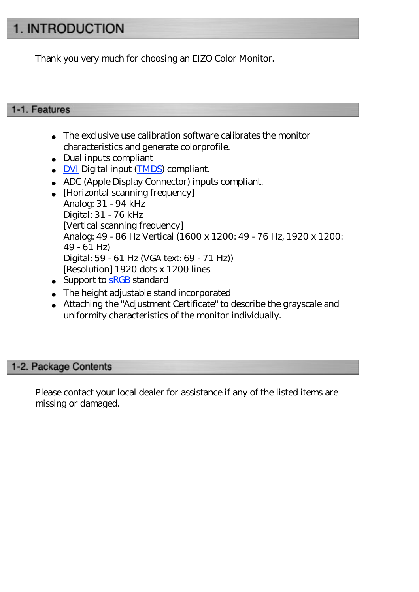# <span id="page-11-0"></span>1. INTRODUCTION

Thank you very much for choosing an EIZO Color Monitor.

#### <span id="page-11-1"></span>1-1. Features

The exclusive use calibration software calibrates the monitor characteristics and generate colorprofile. Dual inputs compliant **DVI** Digital input [\(TMDS](#page-60-0)) compliant. ADC (Apple Display Connector) inputs compliant. [Horizontal scanning frequency] Analog: 31 - 94 kHz Digital: 31 - 76 kHz [Vertical scanning frequency] Analog: 49 - 86 Hz Vertical (1600 x 1200: 49 - 76 Hz, 1920 x 1200: 49 - 61 Hz) Digital: 59 - 61 Hz (VGA text: 69 - 71 Hz)) [Resolution] 1920 dots x 1200 lines Support to **[sRGB](#page-60-1)** standard The height adjustable stand incorporated Attaching the "Adjustment Certificate" to describe the grayscale and uniformity characteristics of the monitor individually.

#### <span id="page-11-2"></span>1-2. Package Contents

Please contact your local dealer for assistance if any of the listed items are missing or damaged.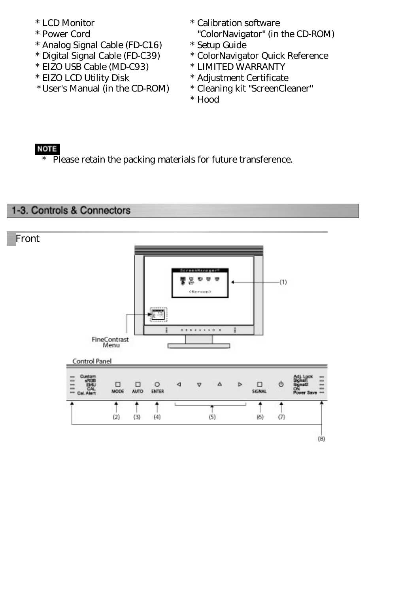- 
- 
- \* Analog Signal Cable (FD-C16) \* Setup Guide
- 
- \* EIZO USB Cable (MD-C93) \* LIMITED WARRANTY
- 
- \*User's Manual (in the CD-ROM) \* Cleaning kit "ScreenCleaner"
- \* LCD Monitor \* Calibration software
- \* Power Cord "ColorNavigator" (in the CD-ROM)
	-
	- \* ColorNavigator Quick Reference
	-
- \* EIZO LCD Utility Disk \* Adjustment Certificate
	-
	- \* Hood

#### **NOTE**

\* Please retain the packing materials for future transference.

#### <span id="page-12-0"></span>1-3. Controls & Connectors

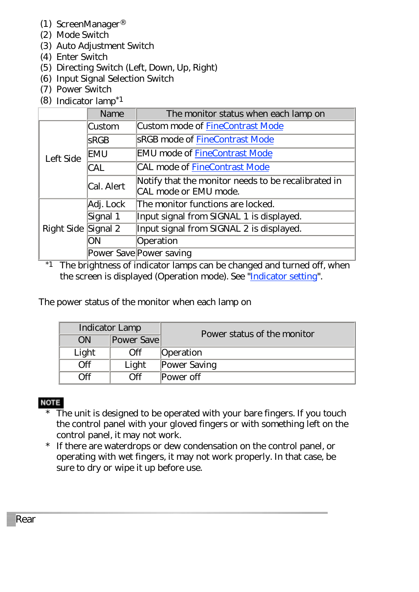- (1) ScreenManager®
- (2) Mode Switch
- (3) Auto Adjustment Switch
- (4) Enter Switch
- (5) Directing Switch (Left, Down, Up, Right)
- (6) Input Signal Selection Switch
- (7) Power Switch
- (8) Indicator lamp\*1

|                     | Name        | The monitor status when each lamp on                                         |
|---------------------|-------------|------------------------------------------------------------------------------|
|                     | Custom      | Custom mode of FineContrast Mode                                             |
|                     | <b>SRGB</b> | <b>SRGB</b> mode of FineContrast Mode                                        |
| Left Side           | EMU         | <b>EMU</b> mode of FineContrast Mode                                         |
|                     | <b>CAL</b>  | CAL mode of FineContrast Mode                                                |
|                     | Cal. Alert  | Notify that the monitor needs to be recalibrated in<br>CAL mode or EMU mode. |
| Right Side Signal 2 | Adj. Lock   | The monitor functions are locked.                                            |
|                     | Signal 1    | Input signal from SIGNAL 1 is displayed.                                     |
|                     |             | Input signal from SIGNAL 2 is displayed.                                     |
|                     | ЭN          | Operation                                                                    |
|                     |             | Power Save Power saving                                                      |

\*1 The brightness of indicator lamps can be changed and turned off, when the screen is displayed (Operation mode). See ["Indicator setting](#page-34-0)".

The power status of the monitor when each lamp on

| <b>Indicator Lamp</b> |                   | Power status of the monitor |
|-----------------------|-------------------|-----------------------------|
| ON                    | Power Save        |                             |
| Light                 | Off               | Operation                   |
| Эff                   | Light             | Power Saving                |
| Эff                   | $\bigcap_{i=1}^n$ | Power off                   |

#### **NOTE**

- \* The unit is designed to be operated with your bare fingers. If you touch the control panel with your gloved fingers or with something left on the control panel, it may not work.
- \* If there are waterdrops or dew condensation on the control panel, or operating with wet fingers, it may not work properly. In that case, be sure to dry or wipe it up before use.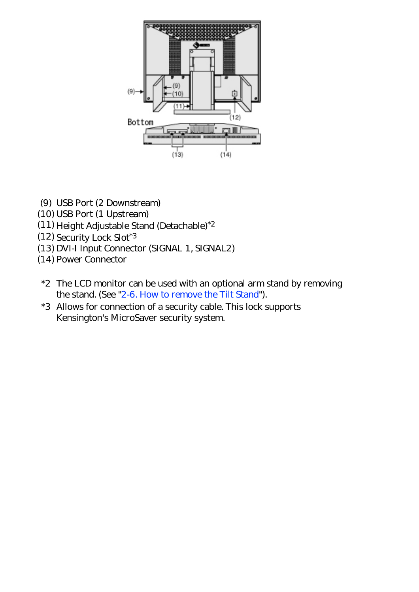

- (9) USB Port (2 Downstream)
- (10) USB Port (1 Upstream)
- (11) Height Adjustable Stand (Detachable)\*2
- (12) Security Lock Slot\*3
- (13) DVI-I Input Connector (SIGNAL 1, SIGNAL2)
- (14) Power Connector
- \*2 The LCD monitor can be used with an optional arm stand by removing the stand. (See "[2-6. How to remove the Tilt Stand](#page-26-0)").
- \*3 Allows for connection of a security cable. This lock supports Kensington's MicroSaver security system.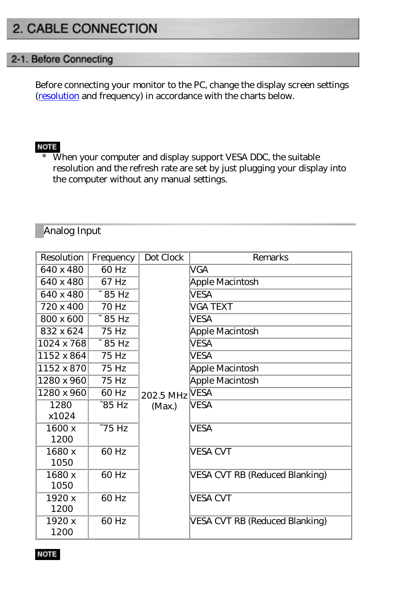# <span id="page-15-0"></span>2. CABLE CONNECTION

#### <span id="page-15-1"></span>2-1. Before Connecting

Before connecting your monitor to the PC, change the display screen settings [\(resolution](#page-59-0) and frequency) in accordance with the charts below.

#### **NOTE**

\* When your computer and display support VESA DDC, the suitable resolution and the refresh rate are set by just plugging your display into the computer without any manual settings.

#### Analog Input

| <b>Resolution</b> | Frequency    | Dot Clock | <b>Remarks</b>                 |
|-------------------|--------------|-----------|--------------------------------|
| 640 x 480         | 60 Hz        |           | <b>VGA</b>                     |
| 640 x 480         | 67 Hz        |           | Apple Macintosh                |
| 640 x 480         | $\sim 85$ Hz |           | <b>VESA</b>                    |
| 720 x 400         | 70 Hz        |           | VGA TEXT                       |
| 800 x 600         | $\sim 85$ Hz |           | <b>VESA</b>                    |
| 832 x 624         | 75 Hz        |           | Apple Macintosh                |
| 1024 x 768        | $\sim 85$ Hz |           | VESA                           |
| 1152 x 864        | 75 Hz        |           | VESA                           |
| 1152 x 870        | 75 Hz        |           | Apple Macintosh                |
| 1280 x 960        | 75 Hz        |           | <b>Apple Macintosh</b>         |
| 1280 x 960        | 60 Hz        | 202.5 MHz | <b>VESA</b>                    |
| 1280              | $-85$ Hz     | (Max.)    | <b>VESA</b>                    |
| x1024             |              |           |                                |
| 1600 x            | $-75$ Hz     |           | <b>VESA</b>                    |
| 1200              |              |           |                                |
| 1680 x            | 60 Hz        |           | <b>VESA CVT</b>                |
| 1050              |              |           |                                |
| 1680x             | 60 Hz        |           | VESA CVT RB (Reduced Blanking) |
| 1050              |              |           |                                |
| 1920 x            | 60 Hz        |           | <b>VESA CVT</b>                |
| 1200              |              |           |                                |
| 1920 x            | 60 Hz        |           | VESA CVT RB (Reduced Blanking) |
| 1200              |              |           |                                |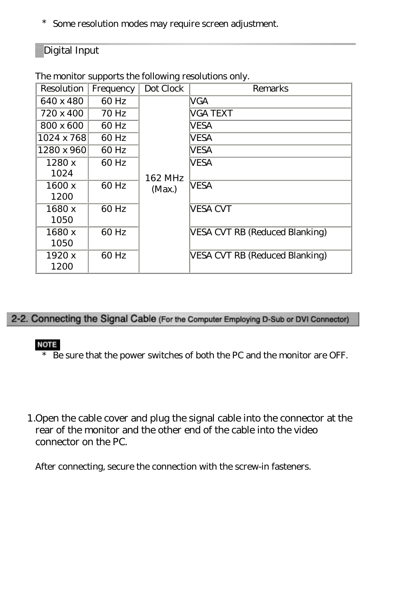\* Some resolution modes may require screen adjustment.

#### Digital Input

| <b>Resolution</b> | Frequency        | Dot Clock | Remarks                        |
|-------------------|------------------|-----------|--------------------------------|
| 640 x 480         | 60 Hz            |           | VGA                            |
| 720 x 400         | 70 <sub>Hz</sub> |           | <b>VGA TEXT</b>                |
| 800 x 600         | 60 Hz            |           | VESA                           |
| 1024 x 768        | 60 Hz            |           | <b>VESA</b>                    |
| 1280 x 960        | 60 Hz            |           | VESA                           |
| 1280x             | 60 Hz            |           | <b>VESA</b>                    |
| 1024              |                  | 162 MHz   |                                |
| 1600x             | 60 Hz            | (Max)     | <b>VESA</b>                    |
| 1200              |                  |           |                                |
| 1680 x            | 60 Hz            |           | <b>VESA CVT</b>                |
| 1050              |                  |           |                                |
| 1680 x            | 60 Hz            |           | VESA CVT RB (Reduced Blanking) |
| 1050              |                  |           |                                |
| 1920 x            | 60 Hz            |           | VESA CVT RB (Reduced Blanking) |
| 1200              |                  |           |                                |

The monitor supports the following resolutions only.

#### <span id="page-16-0"></span>2-2. Connecting the Signal Cable (For the Computer Employing D-Sub or DVI Connector)

#### **NOTE**

- \* Be sure that the power switches of both the PC and the monitor are OFF.
- 1.Open the cable cover and plug the signal cable into the connector at the rear of the monitor and the other end of the cable into the video connector on the PC.

After connecting, secure the connection with the screw-in fasteners.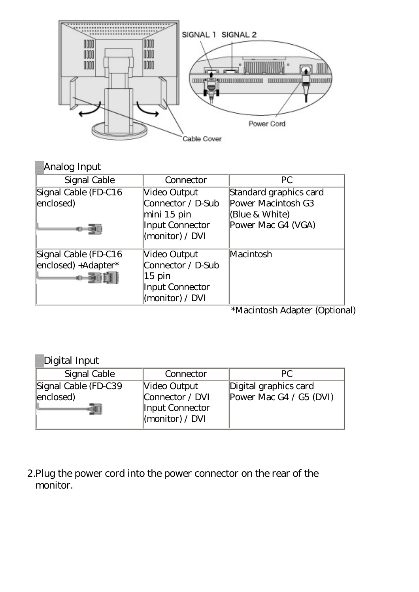

| Analog Input         |                        |                        |
|----------------------|------------------------|------------------------|
| Signal Cable         | Connector              | <b>PC</b>              |
| Signal Cable (FD-C16 | Video Output           | Standard graphics card |
| enclosed)            | Connector / D-Sub      | Power Macintosh G3     |
|                      | mini 15 pin            | (Blue & White)         |
|                      | <b>Input Connector</b> | Power Mac G4 (VGA)     |
|                      | (monitor) / $DVI$      |                        |
| Signal Cable (FD-C16 | Video Output           | Macintosh              |
| enclosed) +Adapter*  | Connector / D-Sub      |                        |
|                      | $15$ pin               |                        |
|                      | <b>Input Connector</b> |                        |
|                      | (monitor) / DVI        |                        |

\*Macintosh Adapter (Optional)

| Digital Input |
|---------------|
|               |

| Signal Cable                      | Connector                                   | PC.                                              |
|-----------------------------------|---------------------------------------------|--------------------------------------------------|
| Signal Cable (FD-C39<br>enclosed) | Video Output<br>$\mathbb{C}$ onnector / DVI | Digital graphics card<br>Power Mac G4 / G5 (DVI) |
|                                   | Input Connector<br>$\vert$ (monitor) / DVI  |                                                  |

2.Plug the power cord into the power connector on the rear of the monitor.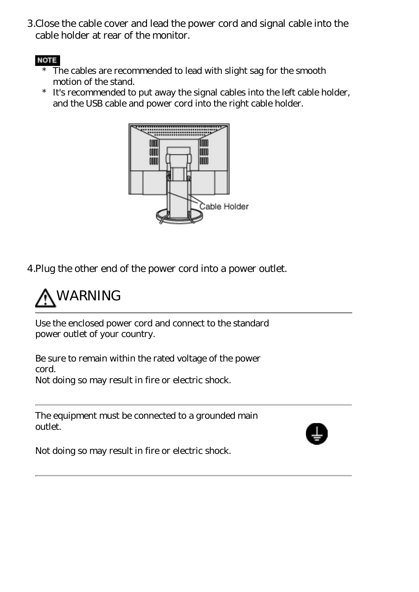3.Close the cable cover and lead the power cord and signal cable into the cable holder at rear of the monitor.

#### **NOTE**

- The cables are recommended to lead with slight sag for the smooth motion of the stand.
- \* It's recommended to put away the signal cables into the left cable holder, and the USB cable and power cord into the right cable holder.



4.Plug the other end of the power cord into a power outlet.



Use the enclosed power cord and connect to the standard power outlet of your country.

Be sure to remain within the rated voltage of the power cord. Not doing so may result in fire or electric shock.

The equipment must be connected to a grounded main outlet.



Not doing so may result in fire or electric shock.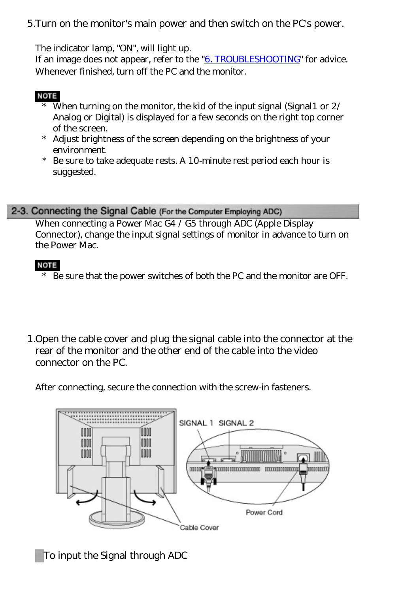5.Turn on the monitor's main power and then switch on the PC's power.

The indicator lamp, "ON", will light up.

If an image does not appear, refer to the ["6. TROUBLESHOOTING](#page-48-1)" for advice. Whenever finished, turn off the PC and the monitor.

#### **NOTE**

- \* When turning on the monitor, the kid of the input signal (Signal1 or 2/ Analog or Digital) is displayed for a few seconds on the right top corner of the screen.
- \* Adjust brightness of the screen depending on the brightness of your environment.
- \* Be sure to take adequate rests. A 10-minute rest period each hour is suggested.

#### <span id="page-19-0"></span>2-3. Connecting the Signal Cable (For the Computer Employing ADC)

When connecting a Power Mac G4 / G5 through ADC (Apple Display Connector), change the input signal settings of monitor in advance to turn on the Power Mac.

#### **NOTE**

- \* Be sure that the power switches of both the PC and the monitor are OFF.
- 1.Open the cable cover and plug the signal cable into the connector at the rear of the monitor and the other end of the cable into the video connector on the PC.

After connecting, secure the connection with the screw-in fasteners.



To input the Signal through ADC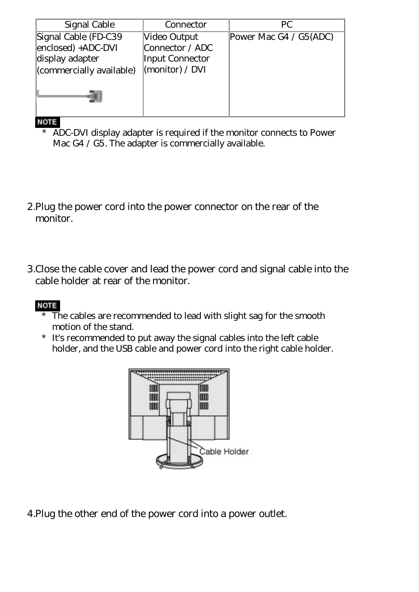| Signal Cable             | Connector              | PC.                    |
|--------------------------|------------------------|------------------------|
| Signal Cable (FD-C39     | Video Output           | Power Mac G4 / G5(ADC) |
| enclosed) +ADC-DVI       | Connector / ADC        |                        |
| display adapter          | <b>Input Connector</b> |                        |
| (commercially available) | (monitor) / DVI        |                        |
|                          |                        |                        |

#### **NOTE**

- \* ADC-DVI display adapter is required if the monitor connects to Power Mac G4 / G5. The adapter is commercially available.
- 2.Plug the power cord into the power connector on the rear of the monitor.
- 3.Close the cable cover and lead the power cord and signal cable into the cable holder at rear of the monitor.

#### **NOTE**

- $*$  The cables are recommended to lead with slight sag for the smooth motion of the stand.
- \* It's recommended to put away the signal cables into the left cable holder, and the USB cable and power cord into the right cable holder.



4.Plug the other end of the power cord into a power outlet.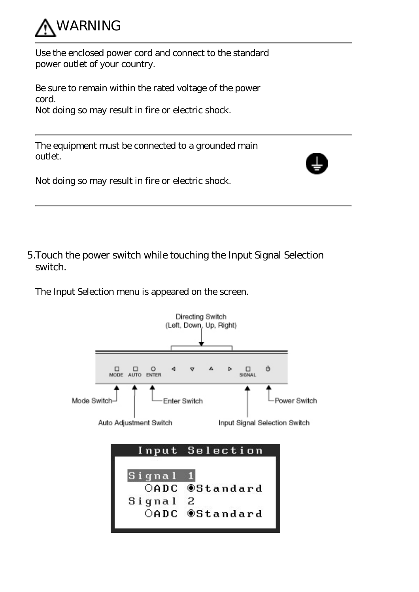

Use the enclosed power cord and connect to the standard power outlet of your country.

Be sure to remain within the rated voltage of the power cord. Not doing so may result in fire or electric shock.



5.Touch the power switch while touching the Input Signal Selection switch.

The Input Selection menu is appeared on the screen.

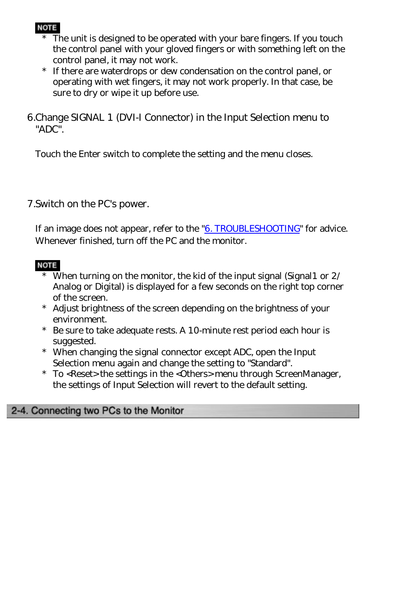#### **NOTE**

- The unit is designed to be operated with your bare fingers. If you touch the control panel with your gloved fingers or with something left on the control panel, it may not work.
- \* If there are waterdrops or dew condensation on the control panel, or operating with wet fingers, it may not work properly. In that case, be sure to dry or wipe it up before use.

6.Change SIGNAL 1 (DVI-I Connector) in the Input Selection menu to "ADC".

Touch the Enter switch to complete the setting and the menu closes.

#### 7.Switch on the PC's power.

If an image does not appear, refer to the ["6. TROUBLESHOOTING](#page-48-1)" for advice. Whenever finished, turn off the PC and the monitor.

#### **NOTE**

- When turning on the monitor, the kid of the input signal (Signal 1 or  $2/$ Analog or Digital) is displayed for a few seconds on the right top corner of the screen.
- \* Adjust brightness of the screen depending on the brightness of your environment.
- \* Be sure to take adequate rests. A 10-minute rest period each hour is suggested.
- \* When changing the signal connector except ADC, open the Input Selection menu again and change the setting to "Standard".
- \* To <Reset> the settings in the <Others> menu through ScreenManager, the settings of Input Selection will revert to the default setting.

#### <span id="page-22-0"></span>2-4. Connecting two PCs to the Monitor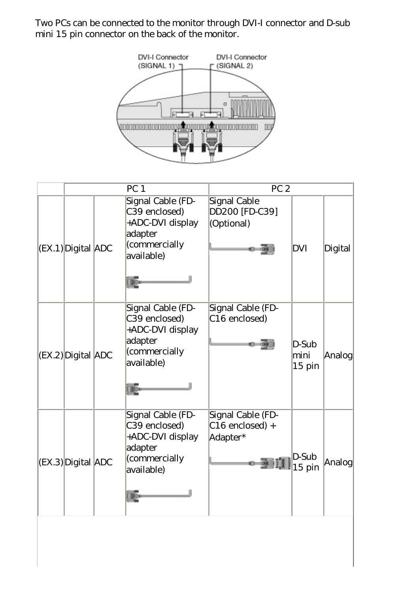Two PCs can be connected to the monitor through DVI-I connector and D-sub mini 15 pin connector on the back of the monitor.



|                          | PC <sub>1</sub> |                                                                                                  | PC <sub>2</sub>                                    |                           |         |
|--------------------------|-----------------|--------------------------------------------------------------------------------------------------|----------------------------------------------------|---------------------------|---------|
| $ EX_1 $ Digital $ ADC $ |                 | Signal Cable (FD-<br>C39 enclosed)<br>+ADC-DVI display<br>adapter<br>(commercially<br>available) | Signal Cable<br>DD200 [FD-C39]<br>(Optional)       | DVI                       | Digital |
| (EX.2) Digital ADC       |                 | Signal Cable (FD-<br>C39 enclosed)<br>+ADC-DVI display<br>adapter<br>(commercially<br>available) | Signal Cable (FD-<br>C <sub>16</sub> enclosed)     | D-Sub<br>mini<br>$15$ pin | Analog  |
| (EX.3) Digital ADC       |                 | Signal Cable (FD-<br>C39 enclosed)<br>+ADC-DVI display<br>adapter<br>(commercially<br>available) | Signal Cable (FD-<br>$C16$ enclosed) +<br>Adapter* | D-Sub<br>$15$ pin         | Analog  |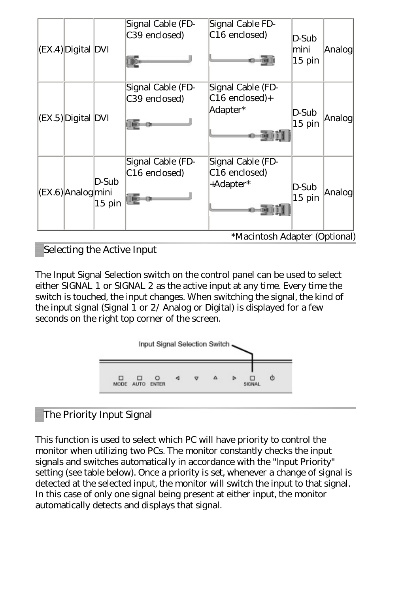| $ EX_4 $ Digital DVI |                   | Signal Cable (FD-<br>C39 enclosed)             | Signal Cable FD-<br>C <sub>16</sub> enclosed)               | D-Sub<br>mini<br>$15$ pin | Analog |
|----------------------|-------------------|------------------------------------------------|-------------------------------------------------------------|---------------------------|--------|
| $ EX.5 $ Digital DVI |                   | Signal Cable (FD-<br>C39 enclosed)             | Signal Cable (FD-<br>C16 enclosed)+<br>Adapter*             | D-Sub<br>$15$ pin         | Analog |
| (EX6) Analog mini    | D-Sub<br>$15$ pin | Signal Cable (FD-<br>C <sub>16</sub> enclosed) | Signal Cable (FD-<br>C <sub>16</sub> enclosed)<br>+Adapter* | D-Sub<br>$15$ pin         | Analog |
|                      |                   |                                                | *Macintosh Adapter (Optional)                               |                           |        |

Selecting the Active Input

The Input Signal Selection switch on the control panel can be used to select either SIGNAL 1 or SIGNAL 2 as the active input at any time. Every time the switch is touched, the input changes. When switching the signal, the kind of the input signal (Signal 1 or 2/ Analog or Digital) is displayed for a few seconds on the right top corner of the screen.



#### The Priority Input Signal

This function is used to select which PC will have priority to control the monitor when utilizing two PCs. The monitor constantly checks the input signals and switches automatically in accordance with the "Input Priority" setting (see table below). Once a priority is set, whenever a change of signal is detected at the selected input, the monitor will switch the input to that signal. In this case of only one signal being present at either input, the monitor automatically detects and displays that signal.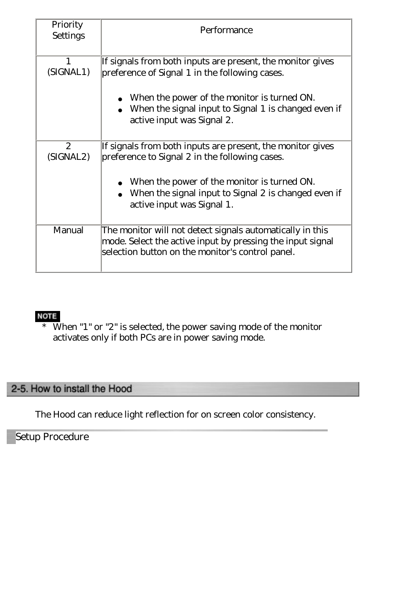| Priority<br>Settings      | Performance                                                                                                  |
|---------------------------|--------------------------------------------------------------------------------------------------------------|
|                           | If signals from both inputs are present, the monitor gives                                                   |
| (SIGNAL1)                 | preference of Signal 1 in the following cases.                                                               |
|                           | When the power of the monitor is turned ON.                                                                  |
|                           | When the signal input to Signal 1 is changed even if                                                         |
|                           | active input was Signal 2.                                                                                   |
| $\mathbf{2}$<br>(SIGNAL2) | If signals from both inputs are present, the monitor gives<br>preference to Signal 2 in the following cases. |
|                           | When the power of the monitor is turned ON.                                                                  |
|                           | When the signal input to Signal 2 is changed even if                                                         |
|                           | active input was Signal 1.                                                                                   |
| Manual                    | The monitor will not detect signals automatically in this                                                    |
|                           | mode. Select the active input by pressing the input signal                                                   |
|                           | selection button on the monitor's control panel.                                                             |

#### NOTE

\* When "1" or "2" is selected, the power saving mode of the monitor activates only if both PCs are in power saving mode.

#### <span id="page-25-0"></span>2-5. How to install the Hood

The Hood can reduce light reflection for on screen color consistency.

Setup Procedure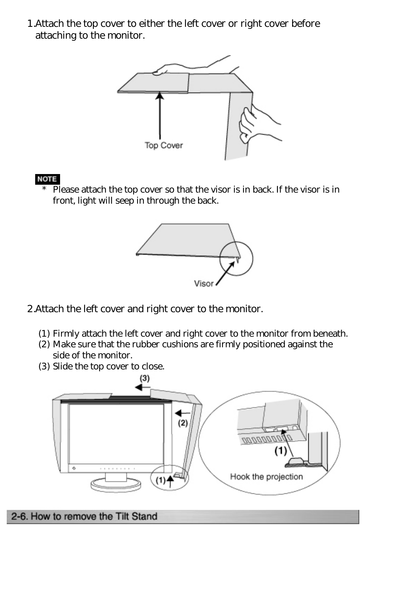1.Attach the top cover to either the left cover or right cover before attaching to the monitor.



#### **NOTE**

\* Please attach the top cover so that the visor is in back. If the visor is in front, light will seep in through the back.



2.Attach the left cover and right cover to the monitor.

- (1) Firmly attach the left cover and right cover to the monitor from beneath.
- (2) Make sure that the rubber cushions are firmly positioned against the side of the monitor.
- (3) Slide the top cover to close.



#### <span id="page-26-0"></span>2-6. How to remove the Tilt Stand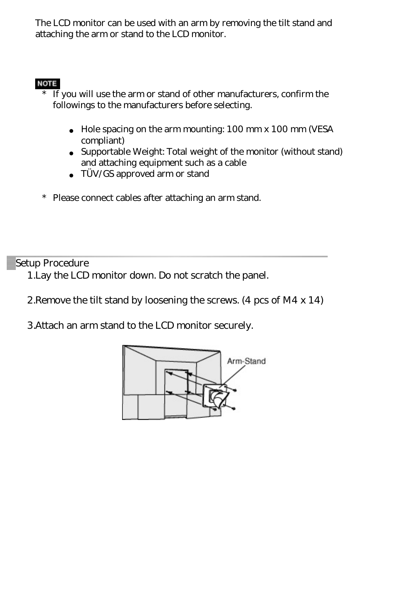The LCD monitor can be used with an arm by removing the tilt stand and attaching the arm or stand to the LCD monitor.

#### **NOTE**

 $\overline{\text{If}}$  you will use the arm or stand of other manufacturers, confirm the followings to the manufacturers before selecting.

> Hole spacing on the arm mounting: 100 mm x 100 mm (VESA compliant) Supportable Weight: Total weight of the monitor (without stand) and attaching equipment such as a cable TÜV/GS approved arm or stand

\* Please connect cables after attaching an arm stand.

Setup Procedure

1.Lay the LCD monitor down. Do not scratch the panel.

2.Remove the tilt stand by loosening the screws. (4 pcs of M4 x 14)

3.Attach an arm stand to the LCD monitor securely.

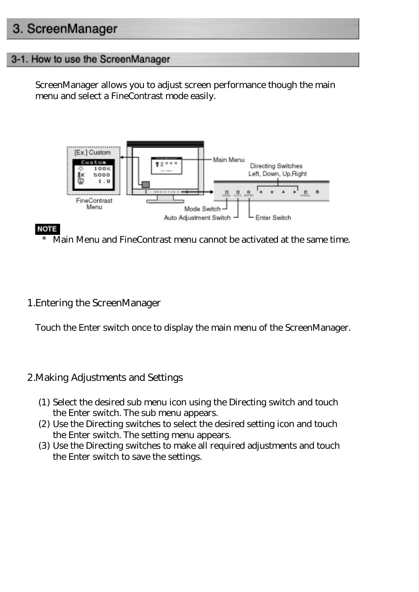# <span id="page-28-0"></span>3. ScreenManager

#### <span id="page-28-1"></span>3-1. How to use the ScreenManager

ScreenManager allows you to adjust screen performance though the main menu and select a FineContrast mode easily.



#### **NOTE**

Main Menu and FineContrast menu cannot be activated at the same time.

1.Entering the ScreenManager

Touch the Enter switch once to display the main menu of the ScreenManager.

#### 2.Making Adjustments and Settings

- (1) Select the desired sub menu icon using the Directing switch and touch the Enter switch. The sub menu appears.
- (2) Use the Directing switches to select the desired setting icon and touch the Enter switch. The setting menu appears.
- (3) Use the Directing switches to make all required adjustments and touch the Enter switch to save the settings.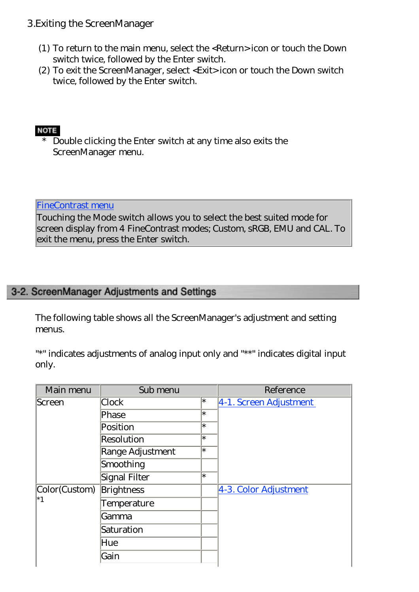#### 3.Exiting the ScreenManager

- (1) To return to the main menu, select the <Return> icon or touch the Down switch twice, followed by the Enter switch.
- (2) To exit the ScreenManager, select <Exit> icon or touch the Down switch twice, followed by the Enter switch.

#### **NOTE**

\* Double clicking the Enter switch at any time also exits the ScreenManager menu.

#### [FineContrast menu](#page-30-0)

Touching the Mode switch allows you to select the best suited mode for screen display from 4 FineContrast modes; Custom, sRGB, EMU and CAL. To exit the menu, press the Enter switch.

#### <span id="page-29-0"></span>3-2. ScreenManager Adjustments and Settings

The following table shows all the ScreenManager's adjustment and setting menus.

"\*" indicates adjustments of analog input only and "\*\*" indicates digital input only.

| Main menu             | Sub menu          |        | Reference              |
|-----------------------|-------------------|--------|------------------------|
| Screen                | Clock             | ∣∗     | 4-1. Screen Adjustment |
|                       | Phase             | ∣∗     |                        |
|                       | Position          | $\ast$ |                        |
|                       | <b>Resolution</b> | $\ast$ |                        |
|                       | Range Adjustment  | $\ast$ |                        |
|                       | Smoothing         |        |                        |
|                       | Signal Filter     | $\ast$ |                        |
| Color(Custom)         | <b>Brightness</b> |        | 4-3. Color Adjustment  |
| $\overline{\ }$ $^*1$ | Temperature       |        |                        |
|                       | Gamma             |        |                        |
|                       | Saturation        |        |                        |
|                       | Hue               |        |                        |
|                       | Gain              |        |                        |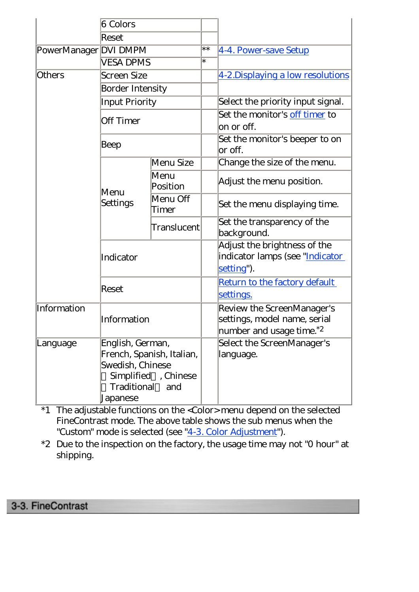|                       | 6 Colors                                                                                                                   |                          |        |                                                                                                        |
|-----------------------|----------------------------------------------------------------------------------------------------------------------------|--------------------------|--------|--------------------------------------------------------------------------------------------------------|
|                       | Reset                                                                                                                      |                          |        |                                                                                                        |
| PowerManager DVI DMPM |                                                                                                                            |                          | $***$  | 4-4. Power-save Setup                                                                                  |
|                       | <b>VESA DPMS</b>                                                                                                           |                          | $\ast$ |                                                                                                        |
| <b>Others</b>         | <b>Screen Size</b>                                                                                                         |                          |        | 4-2. Displaying a low resolutions                                                                      |
|                       | <b>Border Intensity</b>                                                                                                    |                          |        |                                                                                                        |
|                       | <b>Input Priority</b>                                                                                                      |                          |        | Select the priority input signal.                                                                      |
|                       | <b>Off Timer</b>                                                                                                           |                          |        | Set the monitor's off timer to<br>on or off.                                                           |
|                       | Beep                                                                                                                       |                          |        | Set the monitor's beeper to on<br>or off.                                                              |
|                       |                                                                                                                            | Menu Size                |        | Change the size of the menu.                                                                           |
|                       | Menu<br>Settings                                                                                                           | Menu<br>Position         |        | Adjust the menu position.                                                                              |
|                       |                                                                                                                            | Menu Off<br><b>Timer</b> |        | Set the menu displaying time.                                                                          |
|                       |                                                                                                                            | Translucent              |        | Set the transparency of the<br>background.                                                             |
|                       | Indicator                                                                                                                  |                          |        | Adjust the brightness of the<br>indicator lamps (see "Indicator<br>setting").                          |
|                       | Reset                                                                                                                      |                          |        | Return to the factory default<br>settings.                                                             |
| Information           | Information                                                                                                                |                          |        | Review the ScreenManager's<br>settings, model name, serial<br>number and usage time. $^*$ <sup>2</sup> |
| Language              | English, German,<br>French, Spanish, Italian,<br>Swedish, Chinese<br>Simplified, Chinese<br>Traditional<br>and<br>Japanese |                          |        | Select the ScreenManager's<br>language.                                                                |

\*1 The adjustable functions on the <Color> menu depend on the selected FineContrast mode. The above table shows the sub menus when the "Custom" mode is selected (see ["4-3. Color Adjustment](#page-41-0)").

\*2 Due to the inspection on the factory, the usage time may not "0 hour" at shipping.

## <span id="page-30-0"></span>3-3. FineContrast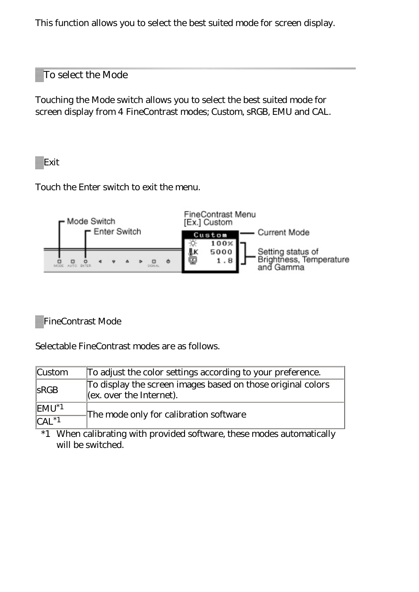This function allows you to select the best suited mode for screen display.

#### To select the Mode

Touching the Mode switch allows you to select the best suited mode for screen display from 4 FineContrast modes; Custom, sRGB, EMU and CAL.

Exit

Touch the Enter switch to exit the menu.



FineContrast Mode

Selectable FineContrast modes are as follows.

| <b>Custom</b>                                        | To adjust the color settings according to your preference.                                  |  |  |  |  |
|------------------------------------------------------|---------------------------------------------------------------------------------------------|--|--|--|--|
| S RGB                                                | To display the screen images based on those original colors<br>$ $ (ex. over the Internet). |  |  |  |  |
| $EMU^*$ <sup>1</sup><br>$\overline{\text{CAL}^{*1}}$ | The mode only for calibration software                                                      |  |  |  |  |

\*1 When calibrating with provided software, these modes automatically will be switched.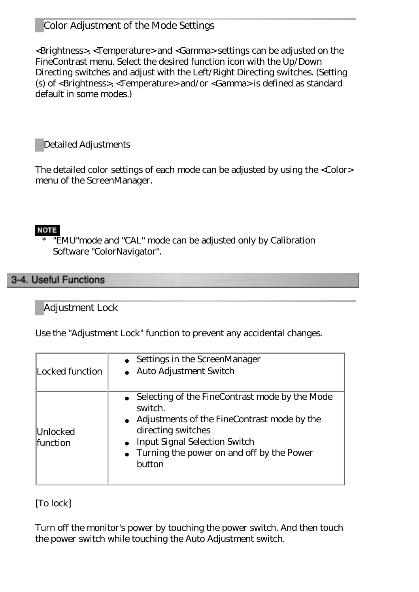#### Color Adjustment of the Mode Settings

<Brightness>, <Temperature> and <Gamma> settings can be adjusted on the FineContrast menu. Select the desired function icon with the Up/Down Directing switches and adjust with the Left/Right Directing switches. (Setting (s) of <Brightness>, <Temperature> and/or <Gamma> is defined as standard default in some modes.)

Detailed Adjustments

The detailed color settings of each mode can be adjusted by using the <Color> menu of the ScreenManager.

#### **NOTE**

"EMU" mode and "CAL" mode can be adjusted only by Calibration Software "ColorNavigator".

#### <span id="page-32-0"></span>3-4. Useful Functions

#### Adjustment Lock

Use the "Adjustment Lock" function to prevent any accidental changes.

|                 | Settings in the ScreenManager                  |  |  |  |
|-----------------|------------------------------------------------|--|--|--|
| Locked function | <b>Auto Adjustment Switch</b>                  |  |  |  |
|                 |                                                |  |  |  |
|                 | Selecting of the FineContrast mode by the Mode |  |  |  |
|                 | switch.                                        |  |  |  |
|                 | Adjustments of the FineContrast mode by the    |  |  |  |
| Unlocked        | directing switches                             |  |  |  |
| <b>function</b> | <b>Input Signal Selection Switch</b>           |  |  |  |
|                 | Turning the power on and off by the Power      |  |  |  |
|                 | button                                         |  |  |  |
|                 |                                                |  |  |  |

[To lock]

<span id="page-32-1"></span>Turn off the monitor's power by touching the power switch. And then touch the power switch while touching the Auto Adjustment switch.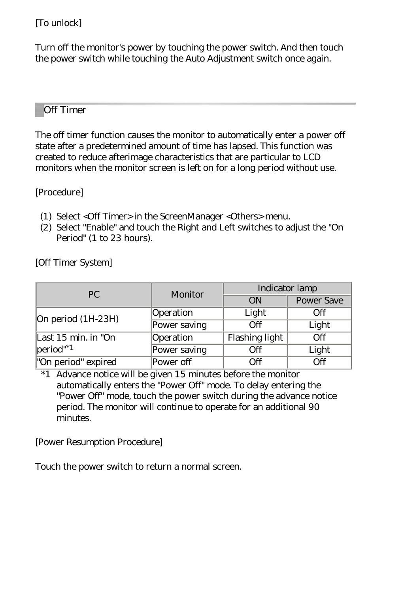[To unlock]

Turn off the monitor's power by touching the power switch. And then touch the power switch while touching the Auto Adjustment switch once again.

#### Off Timer

<span id="page-33-0"></span>The off timer function causes the monitor to automatically enter a power off state after a predetermined amount of time has lapsed. This function was created to reduce afterimage characteristics that are particular to LCD monitors when the monitor screen is left on for a long period without use.

[Procedure]

- (1) Select <Off Timer> in the ScreenManager <Others> menu.
- (2) Select "Enable" and touch the Right and Left switches to adjust the "On Period" (1 to 23 hours).

[Off Timer System]

| PC                                   | Monitor      | Indicator lamp |                   |  |
|--------------------------------------|--------------|----------------|-------------------|--|
|                                      |              | ON             | <b>Power Save</b> |  |
| On period (1H-23H)                   | Operation    | Light          | Off               |  |
|                                      | Power saving | Off            | Light             |  |
| Last 15 min. in "On                  | Operation    | Flashing light | $\overline{Off}$  |  |
| $ period"$ <sup><math>1</math></sup> | Power saving | Off            | Light             |  |
| "On period" expired                  | Power off    | $\int f(x)$    | Off               |  |

\*1 Advance notice will be given 15 minutes before the monitor automatically enters the "Power Off" mode. To delay entering the "Power Off" mode, touch the power switch during the advance notice period. The monitor will continue to operate for an additional 90 minutes.

[Power Resumption Procedure]

Touch the power switch to return a normal screen.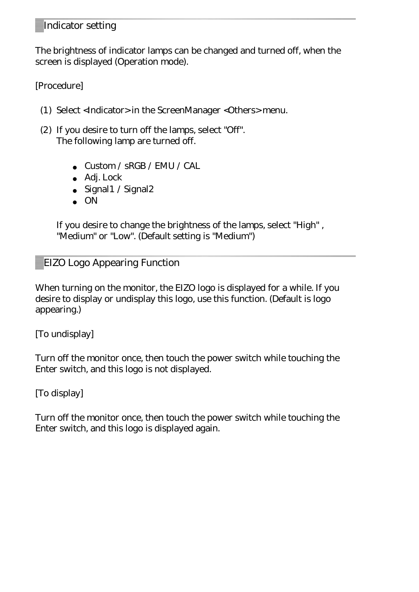#### <span id="page-34-0"></span>Indicator setting

The brightness of indicator lamps can be changed and turned off, when the screen is displayed (Operation mode).

[Procedure]

- (1) Select <Indicator> in the ScreenManager <Others> menu.
- (2) If you desire to turn off the lamps, select "Off". The following lamp are turned off.

● Custom / sRGB / EMU / CAL Adj. Lock Signal1 / Signal2 **ON** 

If you desire to change the brightness of the lamps, select "High" , "Medium" or "Low". (Default setting is "Medium")

EIZO Logo Appearing Function

When turning on the monitor, the EIZO logo is displayed for a while. If you desire to display or undisplay this logo, use this function. (Default is logo appearing.)

[To undisplay]

Turn off the monitor once, then touch the power switch while touching the Enter switch, and this logo is not displayed.

[To display]

Turn off the monitor once, then touch the power switch while touching the Enter switch, and this logo is displayed again.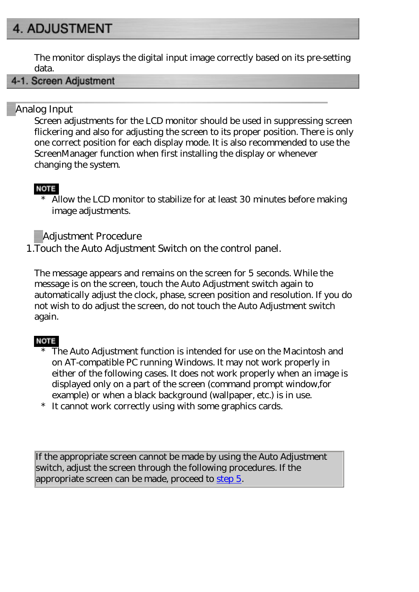# <span id="page-35-0"></span>**4. ADJUSTMENT**

The monitor displays the digital input image correctly based on its pre-setting data.

#### <span id="page-35-1"></span>4-1. Screen Adjustment

#### Analog Input

Screen adjustments for the LCD monitor should be used in suppressing screen flickering and also for adjusting the screen to its proper position. There is only one correct position for each display mode. It is also recommended to use the ScreenManager function when first installing the display or whenever changing the system.

#### **NOTE**

\* Allow the LCD monitor to stabilize for at least 30 minutes before making image adjustments.

Adjustment Procedure

1.Touch the Auto Adjustment Switch on the control panel.

The message appears and remains on the screen for 5 seconds. While the message is on the screen, touch the Auto Adjustment switch again to automatically adjust the clock, phase, screen position and resolution. If you do not wish to do adjust the screen, do not touch the Auto Adjustment switch again.

#### **NOTE**

- The Auto Adjustment function is intended for use on the Macintosh and on AT-compatible PC running Windows. It may not work properly in either of the following cases. It does not work properly when an image is displayed only on a part of the screen (command prompt window,for example) or when a black background (wallpaper, etc.) is in use.
- \* It cannot work correctly using with some graphics cards.

If the appropriate screen cannot be made by using the Auto Adjustment switch, adjust the screen through the following procedures. If the appropriate screen can be made, proceed to [step 5.](#page-39-1)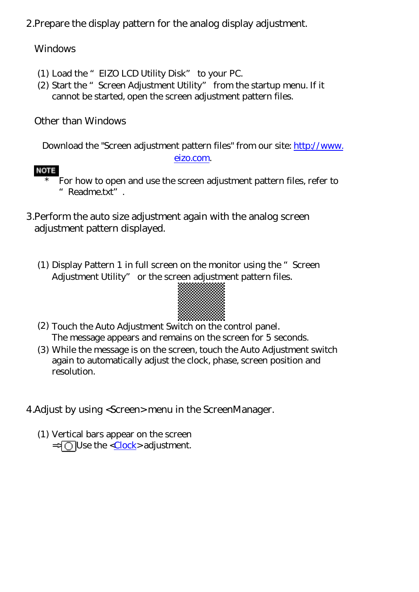2.Prepare the display pattern for the analog display adjustment.

#### Windows

- (1) Load the "EIZO LCD Utility Disk" to your PC.
- (2) Start the "Screen Adjustment Utility" from the startup menu. If it cannot be started, open the screen adjustment pattern files.

Other than Windows

Download the "Screen adjustment pattern files" from our site: [http://www.](http://www.eizo.com/)

#### [eizo.com](http://www.eizo.com/).

#### **NOTE**

- For how to open and use the screen adjustment pattern files, refer to "Readme.txt".
- 3.Perform the auto size adjustment again with the analog screen adjustment pattern displayed.
	- (1) Display Pattern 1 in full screen on the monitor using the "Screen Adjustment Utility" or the screen adjustment pattern files.



- (2) Touch the Auto Adjustment Switch on the control panel. The message appears and remains on the screen for 5 seconds.
- (3) While the message is on the screen, touch the Auto Adjustment switch again to automatically adjust the clock, phase, screen position and resolution.

<span id="page-36-0"></span>4.Adjust by using <Screen> menu in the ScreenManager.

(1) Vertical bars appear on the screen  $=\sqrt{\frac{1}{2}}$  Use the <[Clock>](#page-58-0) adjustment.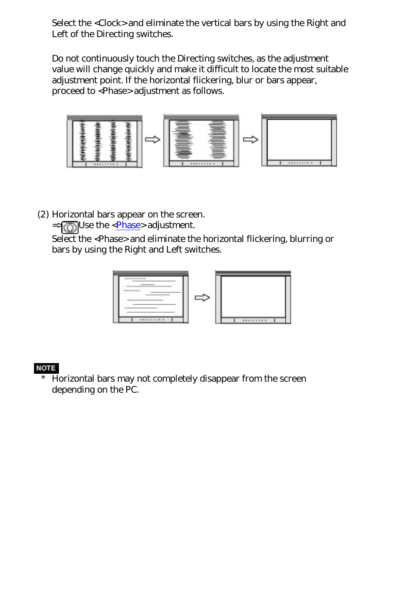Select the <Clock> and eliminate the vertical bars by using the Right and Left of the Directing switches.

Do not continuously touch the Directing switches, as the adjustment value will change quickly and make it difficult to locate the most suitable adjustment point. If the horizontal flickering, blur or bars appear, proceed to <Phase> adjustment as follows.



(2) Horizontal bars appear on the screen.

 $=$   $\sqrt{\binom{m}{1}}$  Use the <*Phase*> adjustment.

Select the <Phase> and eliminate the horizontal flickering, blurring or bars by using the Right and Left switches.



#### **NOTE**

\* Horizontal bars may not completely disappear from the screen depending on the PC.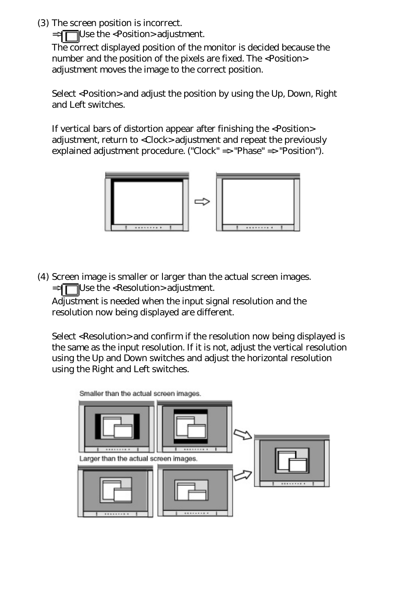<span id="page-38-0"></span>(3) The screen position is incorrect.

 $\Rightarrow$  Use the <Position> adjustment.

The correct displayed position of the monitor is decided because the number and the position of the pixels are fixed. The <Position> adjustment moves the image to the correct position.

Select <Position> and adjust the position by using the Up, Down, Right and Left switches.

If vertical bars of distortion appear after finishing the <Position> adjustment, return to <Clock> adjustment and repeat the previously explained adjustment procedure. ("Clock" => "Phase" => "Position").



<span id="page-38-1"></span>(4) Screen image is smaller or larger than the actual screen images.  $\Rightarrow$  Use the <Resolution> adjustment.

Adjustment is needed when the input signal resolution and the resolution now being displayed are different.

Select <Resolution> and confirm if the resolution now being displayed is the same as the input resolution. If it is not, adjust the vertical resolution using the Up and Down switches and adjust the horizontal resolution using the Right and Left switches.

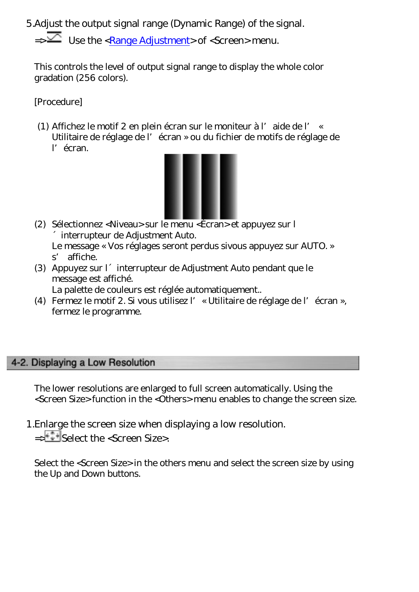<span id="page-39-1"></span>5.Adjust the output signal range (Dynamic Range) of the signal.

 $\equiv$   $\geq$  Use the [<Range Adjustment](#page-59-2)> of <Screen> menu.

This controls the level of output signal range to display the whole color gradation (256 colors).

[Procedure]

(1) Affichez le motif 2 en plein écran sur le moniteur à l'aide de l' « Utilitaire de réglage de l'écran » ou du fichier de motifs de réglage de l'écran.



(2) Sélectionnez <Niveau> sur le menu <Écran> et appuyez sur l ´interrupteur de Adjustment Auto.

Le message « Vos réglages seront perdus sivous appuyez sur AUTO. » s' affiche.

(3) Appuyez sur l´interrupteur de Adjustment Auto pendant que le message est affiché.

La palette de couleurs est réglée automatiquement..

(4) Fermez le motif 2. Si vous utilisez l'« Utilitaire de réglage de l'écran », fermez le programme.

#### <span id="page-39-0"></span>4-2. Displaying a Low Resolution

The lower resolutions are enlarged to full screen automatically. Using the <Screen Size> function in the <Others> menu enables to change the screen size.

1.Enlarge the screen size when displaying a low resolution.

=>  $\frac{2}{x}$  Select the <Screen Size>.

Select the <Screen Size> in the others menu and select the screen size by using the Up and Down buttons.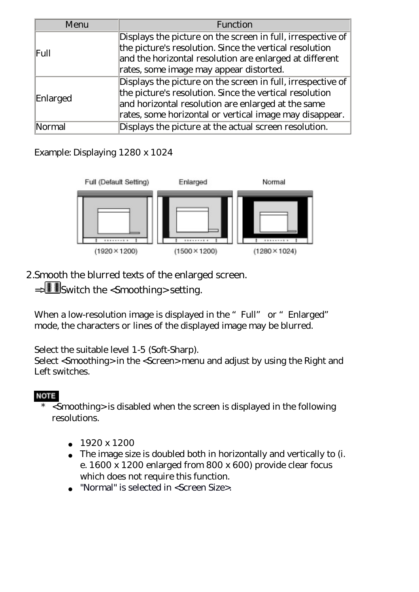| Menu     | Function                                                    |  |  |  |
|----------|-------------------------------------------------------------|--|--|--|
|          | Displays the picture on the screen in full, irrespective of |  |  |  |
| Full     | the picture's resolution. Since the vertical resolution     |  |  |  |
|          | and the horizontal resolution are enlarged at different     |  |  |  |
|          | rates, some image may appear distorted.                     |  |  |  |
|          | Displays the picture on the screen in full, irrespective of |  |  |  |
|          | the picture's resolution. Since the vertical resolution     |  |  |  |
| Enlarged | and horizontal resolution are enlarged at the same          |  |  |  |
|          | rates, some horizontal or vertical image may disappear.     |  |  |  |
|          | Displays the picture at the actual screen resolution.       |  |  |  |

#### Example: Displaying 1280 x 1024



2.Smooth the blurred texts of the enlarged screen.

=> Switch the <Smoothing> setting.

When a low-resolution image is displayed in the "Full" or "Enlarged" mode, the characters or lines of the displayed image may be blurred.

Select the suitable level 1-5 (Soft-Sharp).

Select <Smoothing> in the <Screen> menu and adjust by using the Right and Left switches.

#### **NOTE**

\* <Smoothing> is disabled when the screen is displayed in the following resolutions.

#### ● 1920 x 1200

The image size is doubled both in horizontally and vertically to (i. e. 1600 x 1200 enlarged from 800 x 600) provide clear focus which does not require this function. "Normal" is selected in <Screen Size>.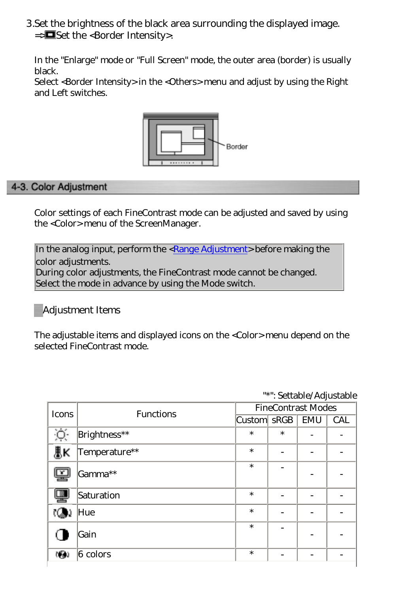3.Set the brightness of the black area surrounding the displayed image.  $\equiv$  Set the <Border Intensity>.

In the "Enlarge" mode or "Full Screen" mode, the outer area (border) is usually black.

Select <Border Intensity> in the <Others> menu and adjust by using the Right and Left switches.



#### <span id="page-41-0"></span>4-3. Color Adjustment

Color settings of each FineContrast mode can be adjusted and saved by using the <Color> menu of the ScreenManager.

In the analog input, perform the [<Range Adjustment](#page-39-1)> before making the color adjustments. During color adjustments, the FineContrast mode cannot be changed. Select the mode in advance by using the Mode switch.

#### Adjustment Items

The adjustable items and displayed icons on the <Color> menu depend on the selected FineContrast mode.

| Icons       | <b>Functions</b> | <b>FineContrast Modes</b> |        |  |            |
|-------------|------------------|---------------------------|--------|--|------------|
|             |                  | Custom SRGB   EMU         |        |  | <b>CAL</b> |
|             | Brightness**     | $\ast$                    | $\ast$ |  |            |
| IJК         | Temperature**    | $\ast$                    | -      |  |            |
|             | Gamma**          | $\ast$                    |        |  |            |
| 坚           | Saturation       | $\ast$                    |        |  |            |
|             | Hue              | $\ast$                    |        |  |            |
|             | Gain             | $\ast$                    |        |  |            |
| <b>1691</b> | $6$ colors       | $\ast$                    |        |  |            |

"\*": Settable/Adjustable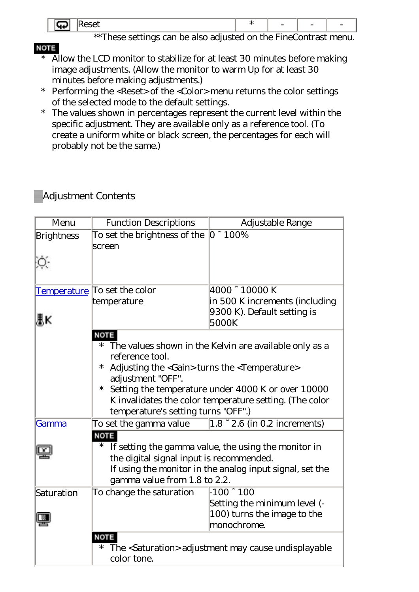| . . | $\sim$                                                    |   |  |     | -  | - |  |
|-----|-----------------------------------------------------------|---|--|-----|----|---|--|
|     | $\sim$ . $\sim$ $\sim$ $\sim$ $\sim$ $\sim$ $\sim$ $\sim$ | . |  | . . | ᠇. |   |  |

\*\*These settings can be also adjusted on the FineContrast menu.

- **NOTE** \* Allow the LCD monitor to stabilize for at least 30 minutes before making image adjustments. (Allow the monitor to warm Up for at least 30 minutes before making adjustments.)
	- \* Performing the <Reset> of the <Color> menu returns the color settings of the selected mode to the default settings.
	- \* The values shown in percentages represent the current level within the specific adjustment. They are available only as a reference tool. (To create a uniform white or black screen, the percentages for each will probably not be the same.)

#### Adjustment Contents

| Menu              | <b>Function Descriptions</b>                                                                                                                         | Adjustable Range                                       |  |  |  |
|-------------------|------------------------------------------------------------------------------------------------------------------------------------------------------|--------------------------------------------------------|--|--|--|
| <b>Brightness</b> | To set the brightness of the                                                                                                                         | $ 0 \cdot 100\%$                                       |  |  |  |
|                   | screen                                                                                                                                               |                                                        |  |  |  |
|                   |                                                                                                                                                      |                                                        |  |  |  |
|                   |                                                                                                                                                      |                                                        |  |  |  |
|                   | <u>Temperature</u> To set the color                                                                                                                  | 4000 ~ 10000 K                                         |  |  |  |
|                   | temperature                                                                                                                                          | in 500 K increments (including                         |  |  |  |
| ₹Κ                |                                                                                                                                                      | 9300 K). Default setting is<br>5000K                   |  |  |  |
|                   | NOTE                                                                                                                                                 |                                                        |  |  |  |
|                   | $\ast$                                                                                                                                               | The values shown in the Kelvin are available only as a |  |  |  |
|                   | reference tool.<br>$\ast$                                                                                                                            |                                                        |  |  |  |
|                   | Adjusting the <gain> turns the <temperature><br/>adjustment "OFF".</temperature></gain>                                                              |                                                        |  |  |  |
|                   | $\ast$                                                                                                                                               |                                                        |  |  |  |
|                   | Setting the temperature under 4000 K or over 10000<br>K invalidates the color temperature setting. (The color<br>temperature's setting turns "OFF".) |                                                        |  |  |  |
|                   |                                                                                                                                                      |                                                        |  |  |  |
| Gamma             | To set the gamma value                                                                                                                               | $1.8 - 2.6$ (in 0.2 increments)                        |  |  |  |
|                   | NOTE                                                                                                                                                 |                                                        |  |  |  |
|                   | $\ast$                                                                                                                                               | If setting the gamma value, the using the monitor in   |  |  |  |
|                   | the digital signal input is recommended.                                                                                                             |                                                        |  |  |  |
|                   | If using the monitor in the analog input signal, set the                                                                                             |                                                        |  |  |  |
|                   | gamma value from 1.8 to 2.2.                                                                                                                         |                                                        |  |  |  |
| Saturation        | To change the saturation<br>$-100 - 100$<br>Setting the minimum level (-                                                                             |                                                        |  |  |  |
|                   | 100) turns the image to the                                                                                                                          |                                                        |  |  |  |
|                   |                                                                                                                                                      | monochrome.                                            |  |  |  |
|                   | NOTE                                                                                                                                                 |                                                        |  |  |  |
|                   | $\ast$<br>The <saturation> adjustment may cause undisplayable</saturation>                                                                           |                                                        |  |  |  |
|                   | color tone.                                                                                                                                          |                                                        |  |  |  |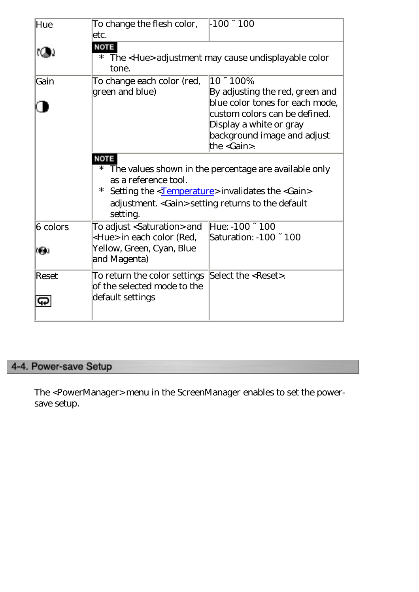| Hue                      | To change the flesh color,<br>etc.                                                                                         | $-100 - 100$                                                                                                                                                                                       |
|--------------------------|----------------------------------------------------------------------------------------------------------------------------|----------------------------------------------------------------------------------------------------------------------------------------------------------------------------------------------------|
|                          | <b>NOTE</b><br>$\ast$<br>tone.                                                                                             | The <hue> adjustment may cause undisplayable color</hue>                                                                                                                                           |
| Gain                     | To change each color (red,<br>green and blue)                                                                              | $10 - 100%$<br>By adjusting the red, green and<br>blue color tones for each mode,<br>custom colors can be defined.<br>Display a white or gray<br>background image and adjust<br>the $<$ Gain $>$ . |
|                          | <b>NOTE</b><br>as a reference tool.<br>$\ast$<br>setting.                                                                  | * The values shown in the percentage are available only<br>Setting the <temperature> invalidates the <gain><br/>adjustment. &lt; Gain&gt; setting returns to the default</gain></temperature>      |
| $6$ colors<br><b>FAI</b> | To adjust <saturation> and<br/><hue> in each color (Red,<br/>Yellow, Green, Cyan, Blue<br/>and Magenta)</hue></saturation> | Hue: $-100 - 100$<br>Saturation: -100 ~ 100                                                                                                                                                        |
| <b>Reset</b><br>ပြာ      | To return the color settings<br>of the selected mode to the<br>default settings                                            | Select the <reset>.</reset>                                                                                                                                                                        |

#### <span id="page-43-0"></span>4-4. Power-save Setup

The <PowerManager> menu in the ScreenManager enables to set the powersave setup.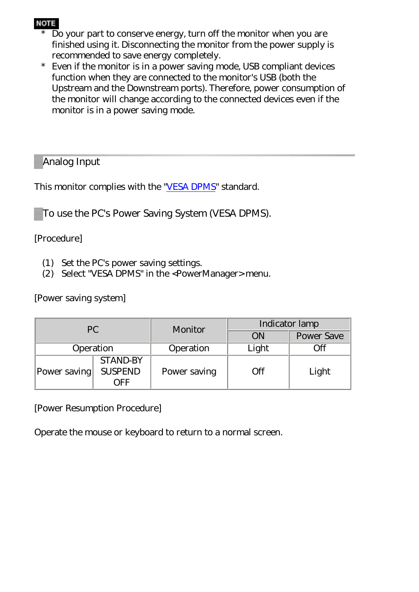#### **NOTE**

- \* Do your part to conserve energy, turn off the monitor when you are finished using it. Disconnecting the monitor from the power supply is recommended to save energy completely.
- \* Even if the monitor is in a power saving mode, USB compliant devices function when they are connected to the monitor's USB (both the Upstream and the Downstream ports). Therefore, power consumption of the monitor will change according to the connected devices even if the monitor is in a power saving mode.

Analog Input

This monitor complies with the ["VESA DPMS](#page-60-2)" standard.

To use the PC's Power Saving System (VESA DPMS).

[Procedure]

- (1) Set the PC's power saving settings.
- (2) Select "VESA DPMS" in the <PowerManager> menu.

[Power saving system]

| PC           |                                             | Monitor      | Indicator lamp |                   |  |  |
|--------------|---------------------------------------------|--------------|----------------|-------------------|--|--|
|              |                                             |              |                | <b>Power Save</b> |  |  |
| Operation    |                                             | Operation    | Light          | Эff               |  |  |
| Power saving | <b>STAND-BY</b><br><b>SUSPEND</b><br>. JFF. | Power saving | Эff            | Light             |  |  |

[Power Resumption Procedure]

Operate the mouse or keyboard to return to a normal screen.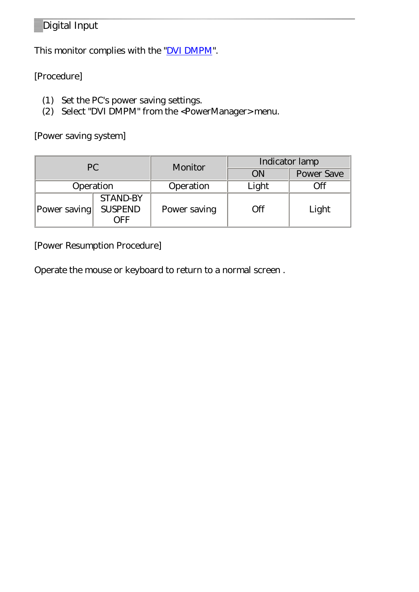#### Digital Input

This monitor complies with the "*DVI DMPM*".

#### [Procedure]

- (1) Set the PC's power saving settings.
- (2) Select "DVI DMPM" from the <PowerManager> menu.

[Power saving system]

| PC           |                                                          | Monitor   | Indicator lamp |                   |  |
|--------------|----------------------------------------------------------|-----------|----------------|-------------------|--|
|              |                                                          |           | ON             | <b>Power Save</b> |  |
| Operation    |                                                          | Operation | Light          | Эff               |  |
| Power saving | <b>STAND-BY</b><br><b>SUSPEND</b><br>Power saving<br>ਾਦਿ |           | Жf             | Light             |  |

[Power Resumption Procedure]

Operate the mouse or keyboard to return to a normal screen .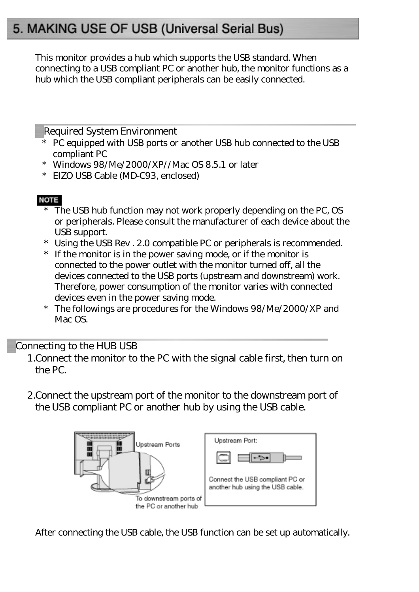# <span id="page-46-0"></span>5. MAKING USE OF USB (Universal Serial Bus)

This monitor provides a hub which supports the USB standard. When connecting to a USB compliant PC or another hub, the monitor functions as a hub which the USB compliant peripherals can be easily connected.

Required System Environment

- \* PC equipped with USB ports or another USB hub connected to the USB compliant PC
- \* Windows 98/Me/2000/XP//Mac OS 8.5.1 or later
- \* EIZO USB Cable (MD-C93, enclosed)

#### **NOTE**

- The USB hub function may not work properly depending on the PC, OS or peripherals. Please consult the manufacturer of each device about the USB support.
- \* Using the USB Rev . 2.0 compatible PC or peripherals is recommended.
- If the monitor is in the power saving mode, or if the monitor is connected to the power outlet with the monitor turned off, all the devices connected to the USB ports (upstream and downstream) work. Therefore, power consumption of the monitor varies with connected devices even in the power saving mode.
- The followings are procedures for the Windows 98/Me/2000/XP and Mac OS.

Connecting to the HUB USB

- 1.Connect the monitor to the PC with the signal cable first, then turn on the PC.
- 2.Connect the upstream port of the monitor to the downstream port of the USB compliant PC or another hub by using the USB cable.



After connecting the USB cable, the USB function can be set up automatically.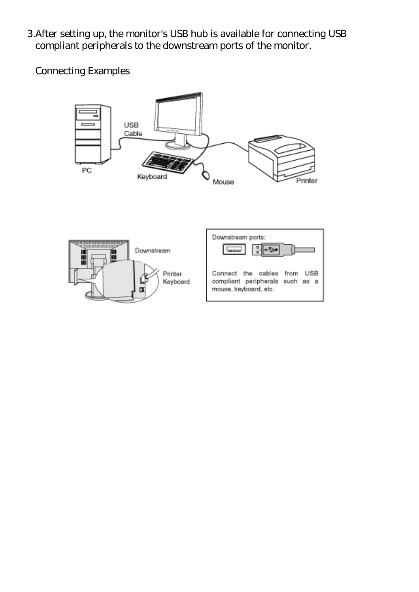3.After setting up, the monitor's USB hub is available for connecting USB compliant peripherals to the downstream ports of the monitor.

Connecting Examples



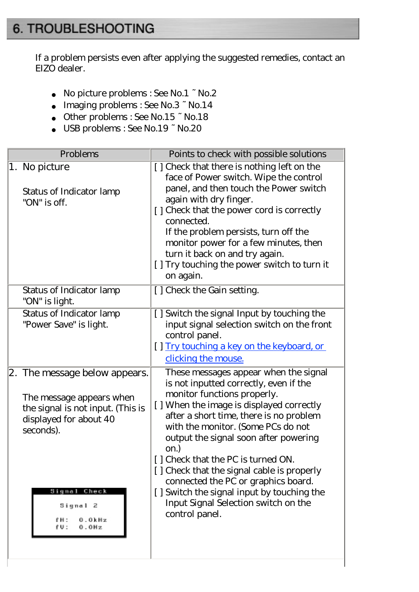# <span id="page-48-1"></span><span id="page-48-0"></span>6. TROUBLESHOOTING

If a problem persists even after applying the suggested remedies, contact an EIZO dealer.

No picture problems : See No.1 ~ No.2 Imaging problems : See No.3 ~ No.14 Other problems : See No.15 ~ No.18 USB problems : See No.19 ~ No.20

| Problems                                                                                                                              | Points to check with possible solutions                                                                                                                                                                                                                                                                                                                                                                                 |
|---------------------------------------------------------------------------------------------------------------------------------------|-------------------------------------------------------------------------------------------------------------------------------------------------------------------------------------------------------------------------------------------------------------------------------------------------------------------------------------------------------------------------------------------------------------------------|
| 1. No picture<br>Status of Indicator lamp<br>"ON" is off.                                                                             | [] Check that there is nothing left on the<br>face of Power switch. Wipe the control<br>panel, and then touch the Power switch<br>again with dry finger.<br>[] Check that the power cord is correctly<br>connected.<br>If the problem persists, turn off the<br>monitor power for a few minutes, then<br>turn it back on and try again.<br>[] Try touching the power switch to turn it<br>on again.                     |
| Status of Indicator lamp<br>"ON" is light.                                                                                            | [] Check the Gain setting.                                                                                                                                                                                                                                                                                                                                                                                              |
| Status of Indicator lamp<br>"Power Save" is light.                                                                                    | [] Switch the signal Input by touching the<br>input signal selection switch on the front<br>control panel.<br>[] Try touching a key on the keyboard, or<br>clicking the mouse.                                                                                                                                                                                                                                          |
| 2. The message below appears.<br>The message appears when<br>the signal is not input. (This is<br>displayed for about 40<br>seconds). | These messages appear when the signal<br>is not inputted correctly, even if the<br>monitor functions properly.<br>[] When the image is displayed correctly<br>after a short time, there is no problem<br>with the monitor. (Some PCs do not<br>output the signal soon after powering<br>on.)<br>[] Check that the PC is turned ON.<br>[] Check that the signal cable is properly<br>connected the PC or graphics board. |
| Signal Check<br>Signal 2<br>£Н:<br>0.OkHz<br>0.0Hz<br>fU:                                                                             | [] Switch the signal input by touching the<br>Input Signal Selection switch on the<br>control panel.                                                                                                                                                                                                                                                                                                                    |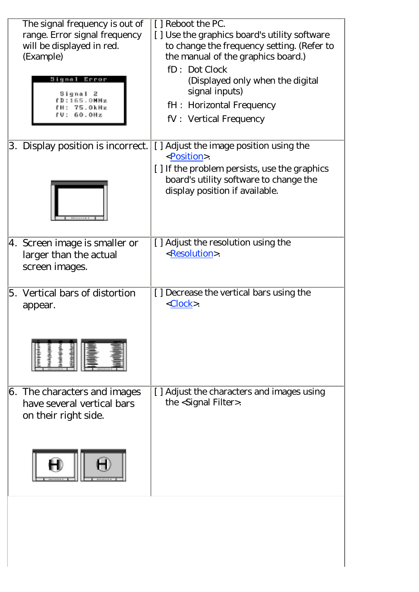|    | The signal frequency is out of<br>range. Error signal frequency<br>will be displayed in red.<br>(Example)<br>Signal Error | [ ] Reboot the PC.<br>[] Use the graphics board's utility software<br>to change the frequency setting. (Refer to<br>the manual of the graphics board.)<br>fD: Dot Clock<br>(Displayed only when the digital<br>signal inputs) |
|----|---------------------------------------------------------------------------------------------------------------------------|-------------------------------------------------------------------------------------------------------------------------------------------------------------------------------------------------------------------------------|
|    | 75.OkHz<br>60.0Hz                                                                                                         | fH: Horizontal Frequency<br>fV: Vertical Frequency                                                                                                                                                                            |
| 3. | Display position is incorrect.                                                                                            | [] Adjust the image position using the<br><position>.<br/>[] If the problem persists, use the graphics<br/>board's utility software to change the<br/>display position if available.</position>                               |
|    | 4. Screen image is smaller or<br>larger than the actual<br>screen images.                                                 | [] Adjust the resolution using the<br><resolution>.</resolution>                                                                                                                                                              |
|    | 5. Vertical bars of distortion<br>appear.                                                                                 | [] Decrease the vertical bars using the<br>$<$ Clock>.                                                                                                                                                                        |
|    | 6. The characters and images<br>have several vertical bars<br>on their right side.                                        | [] Adjust the characters and images using<br>the <signal filter="">.</signal>                                                                                                                                                 |
|    |                                                                                                                           |                                                                                                                                                                                                                               |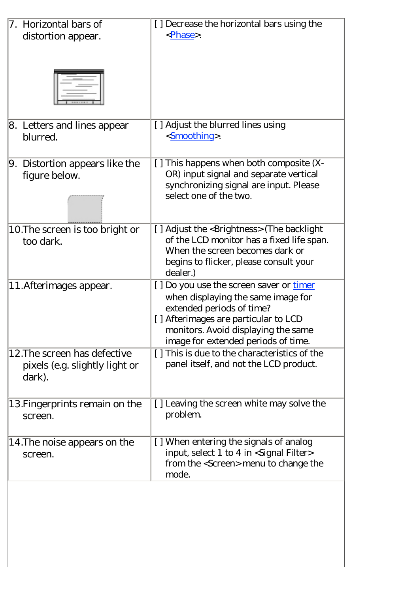| 7. Horizontal bars of           | [] Decrease the horizontal bars using the              |
|---------------------------------|--------------------------------------------------------|
|                                 | <phase>.</phase>                                       |
| distortion appear.              |                                                        |
|                                 |                                                        |
|                                 |                                                        |
|                                 |                                                        |
|                                 |                                                        |
|                                 |                                                        |
|                                 |                                                        |
|                                 |                                                        |
| 8. Letters and lines appear     | [] Adjust the blurred lines using                      |
| blurred.                        | <smoothing>.</smoothing>                               |
|                                 |                                                        |
|                                 |                                                        |
| 9. Distortion appears like the  | [] This happens when both composite (X-                |
| figure below.                   | OR) input signal and separate vertical                 |
|                                 | synchronizing signal are input. Please                 |
|                                 | select one of the two.                                 |
|                                 |                                                        |
|                                 |                                                        |
| 10. The screen is too bright or | [] Adjust the <brightness> (The backlight</brightness> |
| too dark.                       | of the LCD monitor has a fixed life span.              |
|                                 | When the screen becomes dark or                        |
|                                 | begins to flicker, please consult your                 |
|                                 | dealer.)                                               |
|                                 |                                                        |
| 11. Afterimages appear.         | [] Do you use the screen saver or timer                |
|                                 | when displaying the same image for                     |
|                                 | extended periods of time?                              |
|                                 | [] Afterimages are particular to LCD                   |
|                                 | monitors. Avoid displaying the same                    |
|                                 | image for extended periods of time.                    |
| 12. The screen has defective    | [] This is due to the characteristics of the           |
| pixels (e.g. slightly light or  | panel itself, and not the LCD product.                 |
| dark).                          |                                                        |
|                                 |                                                        |
|                                 |                                                        |
| 13. Fingerprints remain on the  | [] Leaving the screen white may solve the              |
| screen.                         | problem.                                               |
|                                 |                                                        |
| 14. The noise appears on the    | [] When entering the signals of analog                 |
|                                 | input, select 1 to 4 in <signal filter=""></signal>    |
| screen.                         |                                                        |
|                                 | from the <screen> menu to change the</screen>          |
|                                 | mode.                                                  |
|                                 |                                                        |
|                                 |                                                        |
|                                 |                                                        |
|                                 |                                                        |
|                                 |                                                        |
|                                 |                                                        |
|                                 |                                                        |
|                                 |                                                        |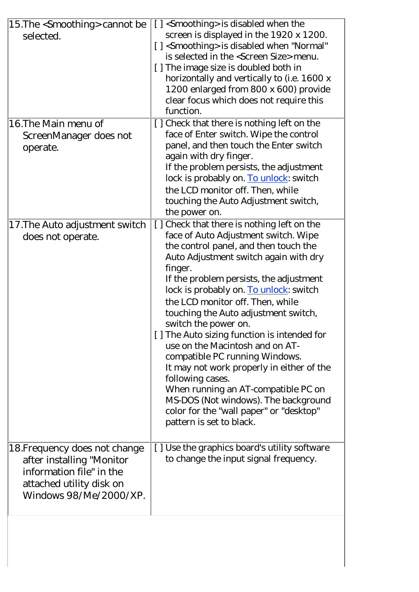| 15. The <smoothing> cannot be<br/>selected.</smoothing>                                                                                      | [] <smoothing> is disabled when the<br/>screen is displayed in the 1920 x 1200.<br/>[] <smoothing> is disabled when "Normal"<br/>is selected in the <screen size=""> menu.<br/>[] The image size is doubled both in<br/>horizontally and vertically to (i.e. 1600 x<br/>1200 enlarged from 800 x 600) provide<br/>clear focus which does not require this<br/>function.</screen></smoothing></smoothing>                                                                                                                                                                                                                                                                                                            |
|----------------------------------------------------------------------------------------------------------------------------------------------|---------------------------------------------------------------------------------------------------------------------------------------------------------------------------------------------------------------------------------------------------------------------------------------------------------------------------------------------------------------------------------------------------------------------------------------------------------------------------------------------------------------------------------------------------------------------------------------------------------------------------------------------------------------------------------------------------------------------|
| 16. The Main menu of<br>ScreenManager does not<br>operate.                                                                                   | [] Check that there is nothing left on the<br>face of Enter switch. Wipe the control<br>panel, and then touch the Enter switch<br>again with dry finger.<br>If the problem persists, the adjustment<br>lock is probably on. To unlock: switch<br>the LCD monitor off. Then, while<br>touching the Auto Adjustment switch,<br>the power on.                                                                                                                                                                                                                                                                                                                                                                          |
| 17. The Auto adjustment switch<br>does not operate.                                                                                          | [] Check that there is nothing left on the<br>face of Auto Adjustment switch. Wipe<br>the control panel, and then touch the<br>Auto Adjustment switch again with dry<br>finger.<br>If the problem persists, the adjustment<br>lock is probably on. To unlock: switch<br>the LCD monitor off. Then, while<br>touching the Auto adjustment switch,<br>switch the power on.<br>[] The Auto sizing function is intended for<br>use on the Macintosh and on AT-<br>compatible PC running Windows.<br>It may not work properly in either of the<br>following cases.<br>When running an AT-compatible PC on<br>MS-DOS (Not windows). The background<br>color for the "wall paper" or "desktop"<br>pattern is set to black. |
| 18. Frequency does not change<br>after installing "Monitor<br>information file" in the<br>attached utility disk on<br>Windows 98/Me/2000/XP. | [] Use the graphics board's utility software<br>to change the input signal frequency.                                                                                                                                                                                                                                                                                                                                                                                                                                                                                                                                                                                                                               |
|                                                                                                                                              |                                                                                                                                                                                                                                                                                                                                                                                                                                                                                                                                                                                                                                                                                                                     |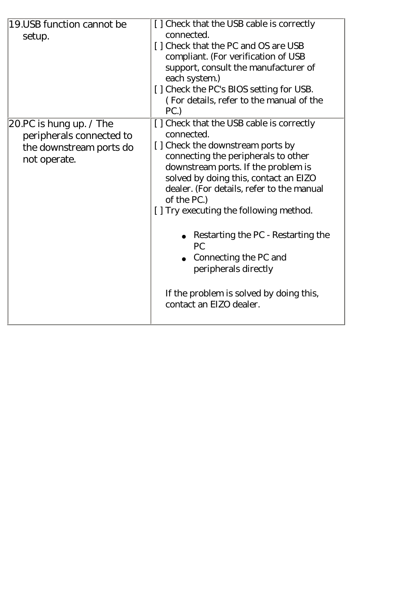| 19. USB function cannot be<br>setup.                                                                         | [] Check that the USB cable is correctly<br>connected.<br>[] Check that the PC and OS are USB<br>compliant. (For verification of USB<br>support, consult the manufacturer of<br>each system.)<br>[] Check the PC's BIOS setting for USB.<br>(For details, refer to the manual of the<br>PC.                                                                                                                                                                                                       |
|--------------------------------------------------------------------------------------------------------------|---------------------------------------------------------------------------------------------------------------------------------------------------------------------------------------------------------------------------------------------------------------------------------------------------------------------------------------------------------------------------------------------------------------------------------------------------------------------------------------------------|
| 20.PC is hung up. $\sqrt{\text{The}}$<br>peripherals connected to<br>the downstream ports do<br>not operate. | [] Check that the USB cable is correctly<br>connected.<br>[] Check the downstream ports by<br>connecting the peripherals to other<br>downstream ports. If the problem is<br>solved by doing this, contact an EIZO<br>dealer. (For details, refer to the manual<br>of the PC.)<br>[] Try executing the following method.<br>Restarting the PC - Restarting the<br><b>PC</b><br>Connecting the PC and<br>peripherals directly<br>If the problem is solved by doing this,<br>contact an EIZO dealer. |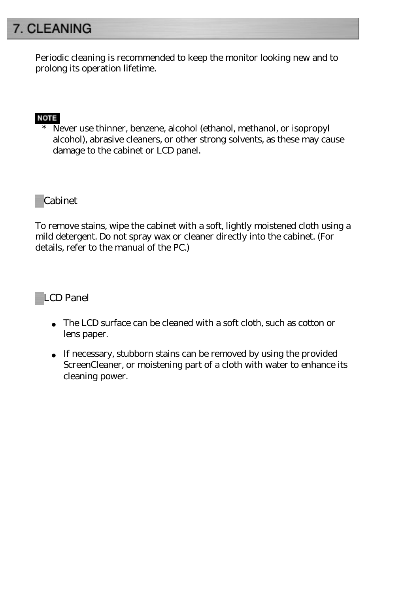# <span id="page-53-0"></span>7. CLEANING

Periodic cleaning is recommended to keep the monitor looking new and to prolong its operation lifetime.

#### **NOTE**

\* Never use thinner, benzene, alcohol (ethanol, methanol, or isopropyl alcohol), abrasive cleaners, or other strong solvents, as these may cause damage to the cabinet or LCD panel.

#### Cabinet

To remove stains, wipe the cabinet with a soft, lightly moistened cloth using a mild detergent. Do not spray wax or cleaner directly into the cabinet. (For details, refer to the manual of the PC.)

#### LCD Panel

The LCD surface can be cleaned with a soft cloth, such as cotton or lens paper.

If necessary, stubborn stains can be removed by using the provided ScreenCleaner, or moistening part of a cloth with water to enhance its cleaning power.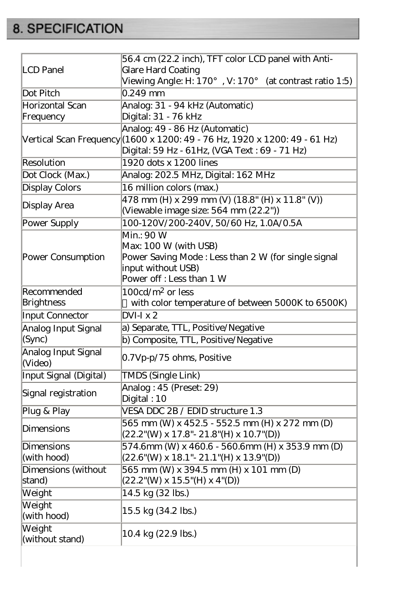# <span id="page-54-0"></span>8. SPECIFICATION

|                                | 56.4 cm (22.2 inch), TFT color LCD panel with Anti-                                                          |  |  |  |  |
|--------------------------------|--------------------------------------------------------------------------------------------------------------|--|--|--|--|
| <b>LCD</b> Panel               | Glare Hard Coating                                                                                           |  |  |  |  |
|                                | Viewing Angle: H: 170°, V: 170°<br>(at contrast ratio 1:5)                                                   |  |  |  |  |
| Dot Pitch                      | $0.249$ mm                                                                                                   |  |  |  |  |
| Horizontal Scan                |                                                                                                              |  |  |  |  |
| Frequency                      | Analog: 31 - 94 kHz (Automatic)                                                                              |  |  |  |  |
|                                | Digital: 31 - 76 kHz                                                                                         |  |  |  |  |
|                                | Analog: 49 - 86 Hz (Automatic)<br>Vertical Scan Frequency (1600 x 1200: 49 - 76 Hz, 1920 x 1200: 49 - 61 Hz) |  |  |  |  |
|                                | Digital: 59 Hz - 61 Hz, (VGA Text : 69 - 71 Hz)                                                              |  |  |  |  |
| Resolution                     | 1920 dots x 1200 lines                                                                                       |  |  |  |  |
| Dot Clock (Max.)               | Analog: 202.5 MHz, Digital: 162 MHz                                                                          |  |  |  |  |
| <b>Display Colors</b>          | 16 million colors (max.)                                                                                     |  |  |  |  |
|                                | 478 mm (H) x 299 mm (V) (18.8" (H) x 11.8" (V))                                                              |  |  |  |  |
| Display Area                   | (Viewable image size: 564 mm (22.2"))                                                                        |  |  |  |  |
| Power Supply                   | 100-120V/200-240V, 50/60 Hz, 1.0A/0.5A                                                                       |  |  |  |  |
|                                | Min.: 90 W                                                                                                   |  |  |  |  |
|                                | Max: 100 W (with USB)                                                                                        |  |  |  |  |
| Power Consumption              | Power Saving Mode: Less than 2 W (for single signal                                                          |  |  |  |  |
|                                | input without USB)                                                                                           |  |  |  |  |
|                                | Power off: Less than 1 W                                                                                     |  |  |  |  |
| Recommended                    | $100cd/m^2$ or less                                                                                          |  |  |  |  |
| Brightness                     | with color temperature of between 5000K to 6500K)                                                            |  |  |  |  |
| Input Connector                | $DVI-I x 2$                                                                                                  |  |  |  |  |
| Analog Input Signal            | a) Separate, TTL, Positive/Negative                                                                          |  |  |  |  |
| (Sync)                         | b) Composite, TTL, Positive/Negative                                                                         |  |  |  |  |
| Analog Input Signal<br>(Video) | 0.7Vp-p/75 ohms, Positive                                                                                    |  |  |  |  |
| Input Signal (Digital)         | <b>TMDS (Single Link)</b>                                                                                    |  |  |  |  |
|                                | Analog: 45 (Preset: 29)                                                                                      |  |  |  |  |
| Signal registration            | Digital: 10                                                                                                  |  |  |  |  |
| Plug & Play                    | VESA DDC 2B / EDID structure 1.3                                                                             |  |  |  |  |
|                                | 565 mm (W) x 452.5 - 552.5 mm (H) x 272 mm (D)                                                               |  |  |  |  |
| Dimensions                     | $(22.2^{\circ}$ (W) x 17.8"- 21.8"(H) x 10.7"(D))                                                            |  |  |  |  |
| Dimensions                     | 574.6mm (W) x 460.6 - 560.6mm (H) x 353.9 mm (D)                                                             |  |  |  |  |
| (with hood)                    | $(22.6''(W) \times 18.1'' - 21.1''(H) \times 13.9''(D))$                                                     |  |  |  |  |
| Dimensions (without            | 565 mm (W) x 394.5 mm (H) x 101 mm (D)                                                                       |  |  |  |  |
| stand)                         | $(22.2^{\circ}$ (W) x 15.5 $^{\circ}$ (H) x 4 $^{\circ}$ (D))                                                |  |  |  |  |
| Weight                         | 14.5 kg (32 lbs.)                                                                                            |  |  |  |  |
| Weight                         |                                                                                                              |  |  |  |  |
| (with hood)                    | 15.5 kg (34.2 lbs.)                                                                                          |  |  |  |  |
| Weight<br>(without stand)      | 10.4 kg (22.9 lbs.)                                                                                          |  |  |  |  |
|                                |                                                                                                              |  |  |  |  |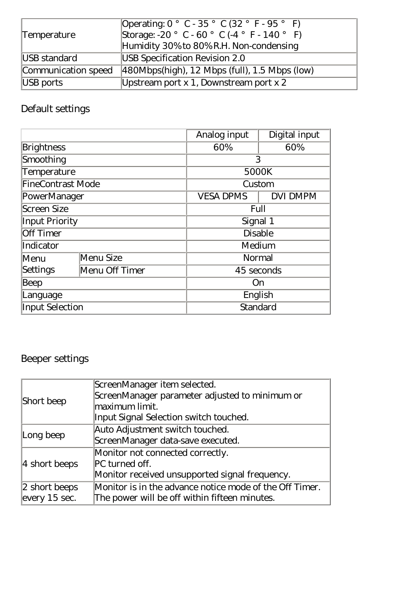|                     | Operating: 0° C - 35° C (32° F - 95° F)        |  |  |
|---------------------|------------------------------------------------|--|--|
| Temperature         | Storage: -20° C - 60° C (-4° F - 140° F)       |  |  |
|                     | Humidity 30% to 80% R.H. Non-condensing        |  |  |
| USB standard        | USB Specification Revision 2.0                 |  |  |
| Communication speed | $ 480Mbps(high), 12Mbps (full), 1.5Mbps (low)$ |  |  |
| USB ports           | Upstream port $x$ 1, Downstream port $x$ 2     |  |  |

# <span id="page-55-0"></span>Default settings

|                            |           | Analog input     | Digital input   |  |  |
|----------------------------|-----------|------------------|-----------------|--|--|
| <b>Brightness</b>          |           | 60%              | 60%             |  |  |
| Smoothing                  |           |                  | 3               |  |  |
| Temperature                |           |                  | 5000K           |  |  |
| <b>FineContrast Mode</b>   |           |                  | Custom          |  |  |
| PowerManager               |           | <b>VESA DPMS</b> | <b>DVI DMPM</b> |  |  |
| Screen Size                |           |                  | Full            |  |  |
| <b>Input Priority</b>      |           |                  | Signal 1        |  |  |
| <b>Off Timer</b>           |           |                  | <b>Disable</b>  |  |  |
| Indicator                  |           | Medium           |                 |  |  |
| Menu                       | Menu Size |                  | Normal          |  |  |
| Settings<br>Menu Off Timer |           |                  | 45 seconds      |  |  |
| Beep                       |           |                  | On              |  |  |
| Language                   |           |                  | English         |  |  |
| <b>Input Selection</b>     |           |                  | Standard        |  |  |

# Beeper settings

|                                                                          | ScreenManager item selected.                   |
|--------------------------------------------------------------------------|------------------------------------------------|
|                                                                          | ScreenManager parameter adjusted to minimum or |
| Short beep                                                               | maximum limit.                                 |
|                                                                          | Input Signal Selection switch touched.         |
|                                                                          | Auto Adjustment switch touched.                |
| Long beep                                                                | ScreenManager data-save executed.              |
|                                                                          | Monitor not connected correctly.               |
| 4 short beeps                                                            | PC turned off.                                 |
|                                                                          | Monitor received unsupported signal frequency. |
| Monitor is in the advance notice mode of the Off Timer.<br>2 short beeps |                                                |
| every $15$ sec.<br>The power will be off within fifteen minutes.         |                                                |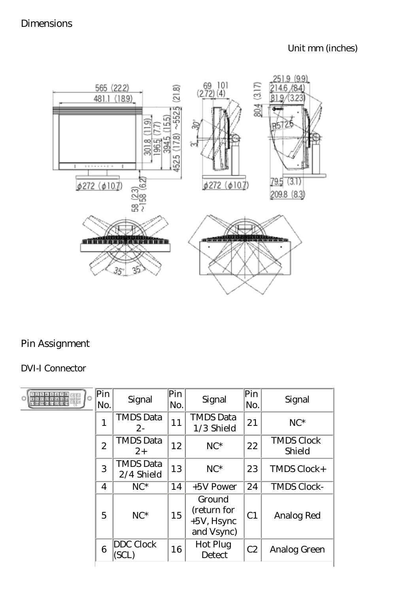

#### Pin Assignment

#### DVI-I Connector

| <b>FRB88667</b><br>Ö<br>Ō | Pin<br>No.     | Signal                         | Pin<br>No. | Signal                                               | Pin<br>No.     | Signal                      |
|---------------------------|----------------|--------------------------------|------------|------------------------------------------------------|----------------|-----------------------------|
|                           | 1              | <b>TMDS Data</b><br>$2 -$      | 11         | <b>TMDS Data</b><br>1/3 Shield                       | 21             | $NC^*$                      |
|                           | $\overline{2}$ | <b>TMDS Data</b><br>$2^{+}$    | 12         | $NC^*$                                               | 22             | <b>TMDS Clock</b><br>Shield |
|                           | 3              | <b>TMDS Data</b><br>2/4 Shield | 13         | $NC^*$                                               | 23             | TMDS Clock+                 |
|                           | $\overline{4}$ | $NC^*$                         | 14         | +5V Power                                            | 24             | <b>TMDS Clock-</b>          |
|                           | 5              | $NC^*$                         | 15         | Ground<br>(return for<br>$+5V$ , Hsync<br>and Vsync) | C <sub>1</sub> | Analog Red                  |
|                           | 6              | <b>DDC</b> Clock               | 16         | Hot Plug<br>Detect                                   | C2             | Analog Green                |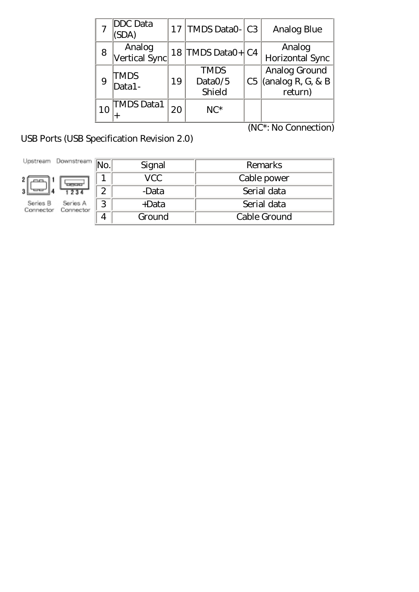|    | DDC Data<br>SDA)        |    | 17   TMDS DataO-   C3            | <b>Analog Blue</b>                                 |
|----|-------------------------|----|----------------------------------|----------------------------------------------------|
| 8  | Analog<br>Vertical Sync |    | 18 TMDS DataO+ C4                | Analog<br>Horizontal Sync                          |
| 9  | TMDS<br>$Data1-$        | 19 | <b>TMDS</b><br>Data0/5<br>Shield | Analog Ground<br>$C5$ (analog R, G, & B<br>return) |
| 10 | <b>TMDS Data1</b>       | 20 | $NC^*$                           |                                                    |

USB Ports (USB Specification Revision 2.0)

(NC\*: No Connection)

| Jostream<br>Downstream            |   | Signal   | Remarks      |
|-----------------------------------|---|----------|--------------|
| ਧਾਰ                               |   | VCC      | Cable power  |
|                                   | ↷ | -Data    | Serial data  |
| Series A<br>Series B<br>Connector | 3 | $+$ Data | Serial data  |
|                                   |   | Ground   | Cable Ground |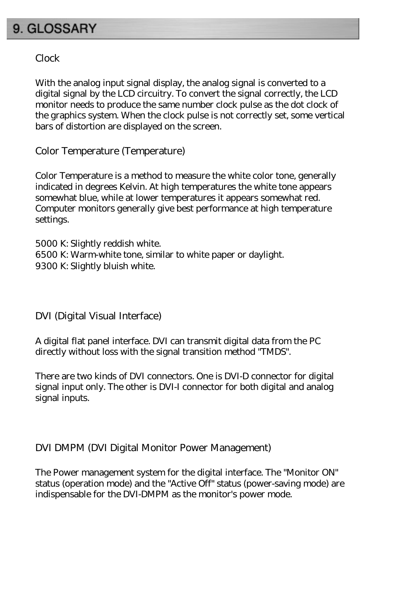# <span id="page-58-0"></span>9. GLOSSARY

#### Clock

With the analog input signal display, the analog signal is converted to a digital signal by the LCD circuitry. To convert the signal correctly, the LCD monitor needs to produce the same number clock pulse as the dot clock of the graphics system. When the clock pulse is not correctly set, some vertical bars of distortion are displayed on the screen.

<span id="page-58-2"></span>Color Temperature (Temperature)

Color Temperature is a method to measure the white color tone, generally indicated in degrees Kelvin. At high temperatures the white tone appears somewhat blue, while at lower temperatures it appears somewhat red. Computer monitors generally give best performance at high temperature settings.

5000 K: Slightly reddish white. 6500 K: Warm-white tone, similar to white paper or daylight. 9300 K: Slightly bluish white.

<span id="page-58-1"></span>DVI (Digital Visual Interface)

A digital flat panel interface. DVI can transmit digital data from the PC directly without loss with the signal transition method "TMDS".

There are two kinds of DVI connectors. One is DVI-D connector for digital signal input only. The other is DVI-I connector for both digital and analog signal inputs.

#### <span id="page-58-3"></span>DVI DMPM (DVI Digital Monitor Power Management)

The Power management system for the digital interface. The "Monitor ON" status (operation mode) and the "Active Off" status (power-saving mode) are indispensable for the DVI-DMPM as the monitor's power mode.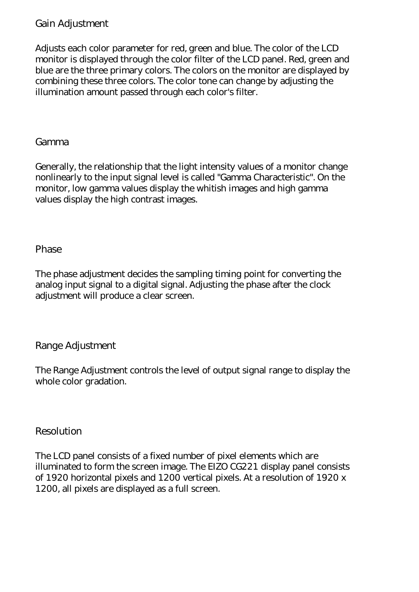#### Gain Adjustment

Adjusts each color parameter for red, green and blue. The color of the LCD monitor is displayed through the color filter of the LCD panel. Red, green and blue are the three primary colors. The colors on the monitor are displayed by combining these three colors. The color tone can change by adjusting the illumination amount passed through each color's filter.

<span id="page-59-3"></span>Gamma

Generally, the relationship that the light intensity values of a monitor change nonlinearly to the input signal level is called "Gamma Characteristic". On the monitor, low gamma values display the whitish images and high gamma values display the high contrast images.

<span id="page-59-1"></span>Phase

The phase adjustment decides the sampling timing point for converting the analog input signal to a digital signal. Adjusting the phase after the clock adjustment will produce a clear screen.

<span id="page-59-2"></span>Range Adjustment

The Range Adjustment controls the level of output signal range to display the whole color gradation.

<span id="page-59-0"></span>Resolution

The LCD panel consists of a fixed number of pixel elements which are illuminated to form the screen image. The EIZO CG221 display panel consists of 1920 horizontal pixels and 1200 vertical pixels. At a resolution of 1920 x 1200, all pixels are displayed as a full screen.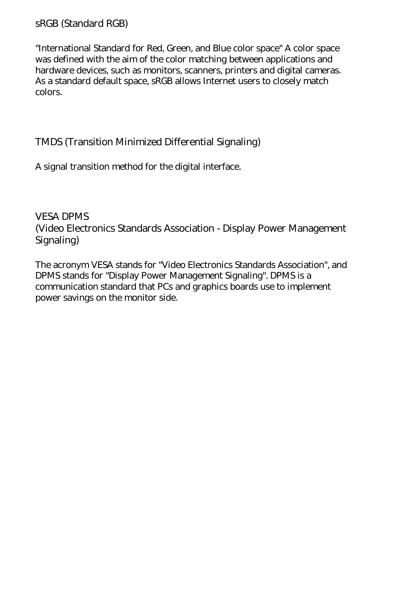#### <span id="page-60-1"></span>sRGB (Standard RGB)

"International Standard for Red, Green, and Blue color space" A color space was defined with the aim of the color matching between applications and hardware devices, such as monitors, scanners, printers and digital cameras. As a standard default space, sRGB allows Internet users to closely match colors.

#### <span id="page-60-0"></span>TMDS (Transition Minimized Differential Signaling)

A signal transition method for the digital interface.

<span id="page-60-2"></span>VESA DPMS (Video Electronics Standards Association - Display Power Management Signaling)

The acronym VESA stands for "Video Electronics Standards Association", and DPMS stands for "Display Power Management Signaling". DPMS is a communication standard that PCs and graphics boards use to implement power savings on the monitor side.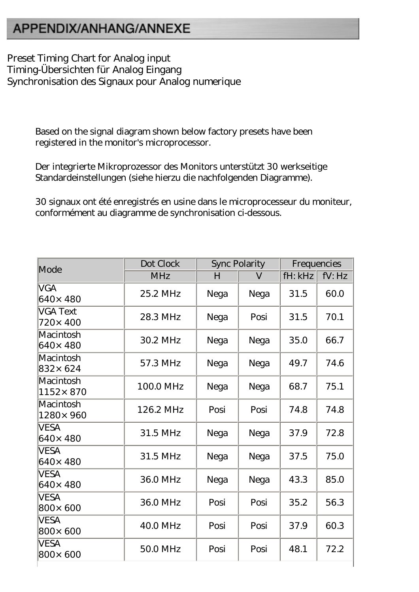# <span id="page-61-0"></span>APPENDIX/ANHANG/ANNEXE

Preset Timing Chart for Analog input Timing-Übersichten für Analog Eingang Synchronisation des Signaux pour Analog numerique

> Based on the signal diagram shown below factory presets have been registered in the monitor's microprocessor.

Der integrierte Mikroprozessor des Monitors unterstützt 30 werkseitige Standardeinstellungen (siehe hierzu die nachfolgenden Diagramme).

30 signaux ont été enregistrés en usine dans le microprocesseur du moniteur, conformément au diagramme de synchronisation ci-dessous.

| Mode                       | Dot Clock  | <b>Sync Polarity</b> |         | Frequencies |        |
|----------------------------|------------|----------------------|---------|-------------|--------|
|                            | <b>MHz</b> | H                    | $\rm V$ | fH: kHz     | fV: Hz |
| <b>VGA</b><br>640×480      | 25.2 MHz   | Nega                 | Nega    | 31.5        | 60.0   |
| <b>VGA Text</b><br>720×400 | 28.3 MHz   | Nega                 | Posi    | 31.5        | 70.1   |
| Macintosh<br>640×480       | 30.2 MHz   | Nega                 | Nega    | 35.0        | 66.7   |
| Macintosh<br>832× 624      | 57.3 MHz   | Nega                 | Nega    | 49.7        | 74.6   |
| Macintosh<br>1152×870      | 100.0 MHz  | Nega                 | Nega    | 68.7        | 75.1   |
| Macintosh<br>1280× 960     | 126.2 MHz  | Posi                 | Posi    | 74.8        | 74.8   |
| <b>VESA</b><br>640×480     | 31.5 MHz   | Nega                 | Nega    | 37.9        | 72.8   |
| <b>VESA</b><br>640×480     | 31.5 MHz   | Nega                 | Nega    | 37.5        | 75.0   |
| <b>VESA</b><br>640×480     | 36.0 MHz   | Nega                 | Nega    | 43.3        | 85.0   |
| <b>VESA</b><br>800× 600    | 36.0 MHz   | Posi                 | Posi    | 35.2        | 56.3   |
| <b>VESA</b><br>800×600     | 40.0 MHz   | Posi                 | Posi    | 37.9        | 60.3   |
| VESA<br>800×600            | 50.0 MHz   | Posi                 | Posi    | 48.1        | 72.2   |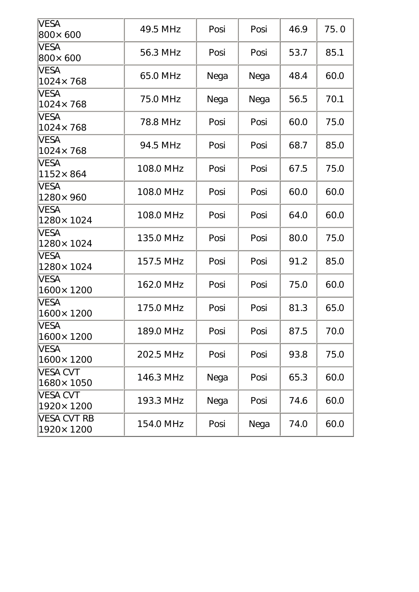| <b>VESA</b><br>800×600       | 49.5 MHz  | Posi | Posi | 46.9 | 75.0 |
|------------------------------|-----------|------|------|------|------|
| <b>VESA</b><br>800×600       | 56.3 MHz  | Posi | Posi | 53.7 | 85.1 |
| <b>VESA</b><br>1024×768      | 65.0 MHz  | Nega | Nega | 48.4 | 60.0 |
| <b>VESA</b><br>1024×768      | 75.0 MHz  | Nega | Nega | 56.5 | 70.1 |
| <b>VESA</b><br>1024×768      | 78.8 MHz  | Posi | Posi | 60.0 | 75.0 |
| <b>VESA</b><br>1024×768      | 94.5 MHz  | Posi | Posi | 68.7 | 85.0 |
| <b>VESA</b><br>1152×864      | 108.0 MHz | Posi | Posi | 67.5 | 75.0 |
| <b>VESA</b><br>1280× 960     | 108.0 MHz | Posi | Posi | 60.0 | 60.0 |
| <b>VESA</b><br>1280×1024     | 108.0 MHz | Posi | Posi | 64.0 | 60.0 |
| <b>VESA</b><br>1280×1024     | 135.0 MHz | Posi | Posi | 80.0 | 75.0 |
| <b>VESA</b><br>1280×1024     | 157.5 MHz | Posi | Posi | 91.2 | 85.0 |
| <b>VESA</b><br>1600×1200     | 162.0 MHz | Posi | Posi | 75.0 | 60.0 |
| <b>VESA</b><br>1600×1200     | 175.0 MHz | Posi | Posi | 81.3 | 65.0 |
| VESA<br>1600×1200            | 189.0 MHz | Posi | Posi | 87.5 | 70.0 |
| <b>VESA</b><br>1600×1200     | 202.5 MHz | Posi | Posi | 93.8 | 75.0 |
| <b>VESA CVT</b><br>1680×1050 | 146.3 MHz | Nega | Posi | 65.3 | 60.0 |
| <b>VESA CVT</b><br>1920×1200 | 193.3 MHz | Nega | Posi | 74.6 | 60.0 |
| VESA CVT RB<br>1920×1200     | 154.0 MHz | Posi | Nega | 74.0 | 60.0 |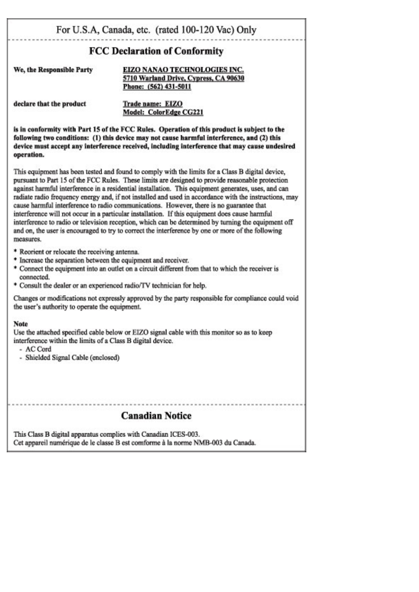#### For U.S.A, Canada, etc. (rated 100-120 Vac) Only

#### **FCC Declaration of Conformity**

We, the Responsible Party

EIZO NANAO TECHNOLOGIES INC. 5710 Warland Drive, Cypress, CA 90630 Phone: (562) 431-5011

declare that the product

Trade name: EIZO Model: ColorEdge CG221

is in conformity with Part 15 of the FCC Rules. Operation of this product is subject to the following two conditions: (1) this device may not cause harmful interference, and (2) this device must accept any interference received, including interference that may cause undesired operation.

This equipment has been tested and found to comply with the limits for a Class B digital device. pursuant to Part 15 of the FCC Rules. These limits are designed to provide reasonable protection against harmful interference in a residential installation. This equipment generates, uses, and can radiate radio frequency energy and, if not installed and used in accordance with the instructions, may cause harmful interference to radio communications. However, there is no guarantee that interference will not occur in a particular installation. If this equipment does cause harmful interference to radio or television reception, which can be determined by turning the equipment off and on, the user is encouraged to try to correct the interference by one or more of the following measures.

- \* Reorient or relocate the receiving antenna.
- \* Increase the separation between the equipment and receiver.
- \* Connect the equipment into an outlet on a circuit different from that to which the receiver is connected.
- \* Consult the dealer or an experienced radio/TV technician for help.

Changes or modifications not expressly approved by the party responsible for compliance could void the user's authority to operate the equipment.

#### **Note**

Use the attached specified cable below or EIZO signal cable with this monitor so as to keep interference within the limits of a Class B digital device.

- AC Cord
- Shielded Signal Cable (enclosed)

#### **Canadian Notice**

This Class B digital apparatus complies with Canadian ICES-003. Cet appareil numérique de le classe B est comforme à la norme NMB-003 du Canada.